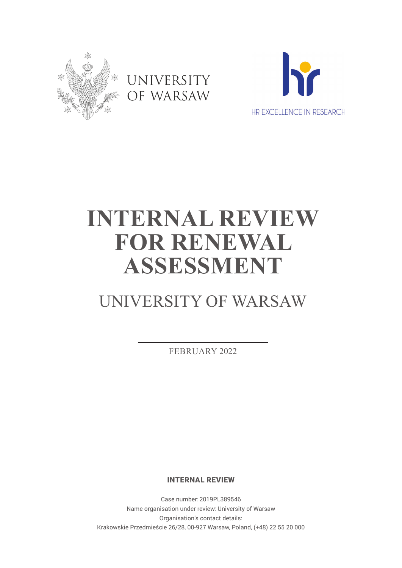



# **INTERNAL REVIEW FOR RENEWAL ASSESSMENT**

# UNIVERSITY OF WARSAW

FEBRUARY 2022

INTERNAL REVIEW

Case number: 2019PL389546 Name organisation under review: University of Warsaw Organisation's contact details: Krakowskie Przedmieście 26/28, 00-927 Warsaw, Poland, (+48) 22 55 20 000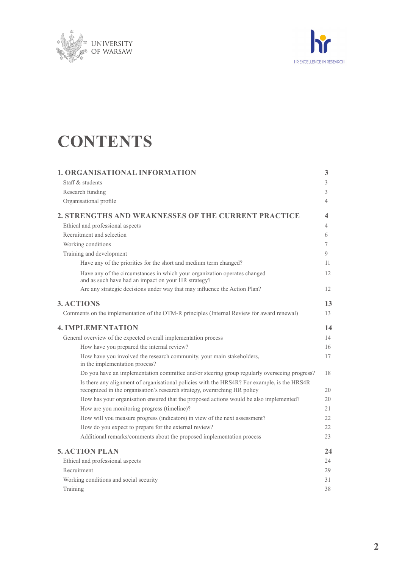



# **CONTENTS**

| <b>1. ORGANISATIONAL INFORMATION</b>                                                                                                                                     | 3              |
|--------------------------------------------------------------------------------------------------------------------------------------------------------------------------|----------------|
| Staff & students                                                                                                                                                         | 3              |
| Research funding                                                                                                                                                         | 3              |
| Organisational profile                                                                                                                                                   | 4              |
| 2. STRENGTHS AND WEAKNESSES OF THE CURRENT PRACTICE                                                                                                                      | 4              |
| Ethical and professional aspects                                                                                                                                         | $\overline{4}$ |
| Recruitment and selection                                                                                                                                                | 6              |
| Working conditions                                                                                                                                                       | 7              |
| Training and development                                                                                                                                                 | $\mathbf Q$    |
| Have any of the priorities for the short and medium term changed?                                                                                                        | 11             |
| Have any of the circumstances in which your organization operates changed<br>and as such have had an impact on your HR strategy?                                         | 12             |
| Are any strategic decisions under way that may influence the Action Plan?                                                                                                | 12             |
| 3. ACTIONS                                                                                                                                                               | 13             |
| Comments on the implementation of the OTM-R principles (Internal Review for award renewal)                                                                               | 13             |
| <b>4. IMPLEMENTATION</b>                                                                                                                                                 | 14             |
| General overview of the expected overall implementation process                                                                                                          | 14             |
| How have you prepared the internal review?                                                                                                                               | 16             |
| How have you involved the research community, your main stakeholders,<br>in the implementation process?                                                                  | 17             |
| Do you have an implementation committee and/or steering group regularly overseeing progress?                                                                             | 18             |
| Is there any alignment of organisational policies with the HRS4R? For example, is the HRS4R<br>recognized in the organisation's research strategy, overarching HR policy | 20             |
| How has your organisation ensured that the proposed actions would be also implemented?                                                                                   | 20             |
| How are you monitoring progress (timeline)?                                                                                                                              | 21             |
| How will you measure progress (indicators) in view of the next assessment?                                                                                               | 22             |
| How do you expect to prepare for the external review?                                                                                                                    | 22             |
| Additional remarks/comments about the proposed implementation process                                                                                                    | 23             |
| <b>5. ACTION PLAN</b>                                                                                                                                                    | 24             |
| Ethical and professional aspects                                                                                                                                         | 24             |
| Recruitment                                                                                                                                                              | 29             |
| Working conditions and social security                                                                                                                                   | 31             |
| Training                                                                                                                                                                 | 38             |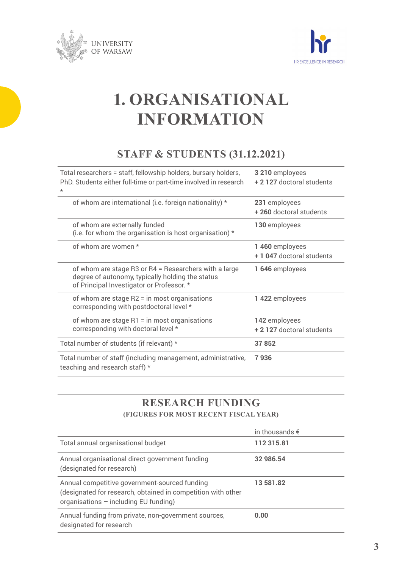



# **1. ORGANISATIONAL INFORMATION**

# **STAFF & STUDENTS (31.12.2021)**

| Total researchers = staff, fellowship holders, bursary holders,<br>PhD. Students either full-time or part-time involved in research<br>$\star$         | 3210 employees<br>+ 2 127 doctoral students |
|--------------------------------------------------------------------------------------------------------------------------------------------------------|---------------------------------------------|
| of whom are international (i.e. foreign nationality) *                                                                                                 | 231 employees<br>+260 doctoral students     |
| of whom are externally funded<br>(i.e. for whom the organisation is host organisation) $*$                                                             | 130 employees                               |
| of whom are women *                                                                                                                                    | 1460 employees<br>+1047 doctoral students   |
| of whom are stage R3 or R4 = Researchers with a large<br>degree of autonomy, typically holding the status<br>of Principal Investigator or Professor. * | 1646 employees                              |
| of whom are stage $R2 = in$ most organisations<br>corresponding with postdoctoral level *                                                              | 1422 employees                              |
| of whom are stage $R1 = in$ most organisations<br>corresponding with doctoral level *                                                                  | 142 employees<br>+ 2 127 doctoral students  |
| Total number of students (if relevant) *                                                                                                               | 37852                                       |
| Total number of staff (including management, administrative,<br>teaching and research staff) *                                                         | 7936                                        |

### **RESEARCH FUNDING (FIGURES FOR MOST RECENT FISCAL YEAR)**

|                                                                                                                                                        | in thousands $\epsilon$ |
|--------------------------------------------------------------------------------------------------------------------------------------------------------|-------------------------|
| Total annual organisational budget                                                                                                                     | 112315.81               |
| Annual organisational direct government funding<br>(designated for research)                                                                           | 32 986.54               |
| Annual competitive government-sourced funding<br>(designated for research, obtained in competition with other<br>organisations - including EU funding) | 13 581.82               |
| Annual funding from private, non-government sources,<br>designated for research                                                                        | 0.00                    |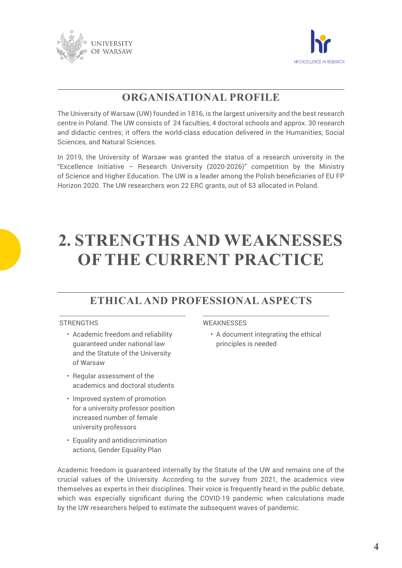



# **ORGANISATIONAL PROFILE**

The University of Warsaw (UW) founded in 1816, is the largest university and the best research centre in Poland. The UW consists of 24 faculties, 4 doctoral schools and approx. 30 research and didactic centres; it offers the world-class education delivered in the Humanities, Social Sciences, and Natural Sciences.

In 2019, the University of Warsaw was granted the status of a research university in the "Excellence Initiative – Research University (2020-2026)" competition by the Ministry of Science and Higher Education. The UW is a leader among the Polish beneficiaries of EU FP Horizon 2020. The UW researchers won 22 ERC grants, out of 53 allocated in Poland.

# **2. STRENGTHS AND WEAKNESSES OF THE CURRENT PRACTICE**

# **ETHICAL AND PROFESSIONAL ASPECTS**

### **STRENGTHS**

- Academic freedom and reliability guaranteed under national law and the Statute of the University of Warsaw
- Regular assessment of the academics and doctoral students
- Improved system of promotion for a university professor position increased number of female university professors
- Equality and antidiscrimination actions, Gender Equality Plan

### **WEAKNESSES**

• A document integrating the ethical principles is needed

Academic freedom is guaranteed internally by the Statute of the UW and remains one of the crucial values of the University. According to the survey from 2021, the academics view themselves as experts in their disciplines. Their voice is frequently heard in the public debate, which was especially significant during the COVID-19 pandemic when calculations made by the UW researchers helped to estimate the subsequent waves of pandemic.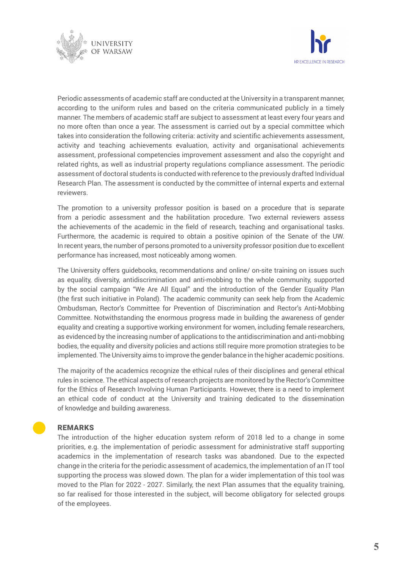



Periodic assessments of academic staff are conducted at the University in a transparent manner, according to the uniform rules and based on the criteria communicated publicly in a timely manner. The members of academic staff are subject to assessment at least every four years and no more often than once a year. The assessment is carried out by a special committee which takes into consideration the following criteria: activity and scientific achievements assessment, activity and teaching achievements evaluation, activity and organisational achievements assessment, professional competencies improvement assessment and also the copyright and related rights, as well as industrial property regulations compliance assessment. The periodic assessment of doctoral students is conducted with reference to the previously drafted Individual Research Plan. The assessment is conducted by the committee of internal experts and external reviewers.

The promotion to a university professor position is based on a procedure that is separate from a periodic assessment and the habilitation procedure. Two external reviewers assess the achievements of the academic in the field of research, teaching and organisational tasks. Furthermore, the academic is required to obtain a positive opinion of the Senate of the UW. In recent years, the number of persons promoted to a university professor position due to excellent performance has increased, most noticeably among women.

The University offers guidebooks, recommendations and online/ on-site training on issues such as equality, diversity, antidiscrimination and anti-mobbing to the whole community, supported by the social campaign "We Are All Equal" and the introduction of the Gender Equality Plan (the first such initiative in Poland). The academic community can seek help from the Academic Ombudsman, Rector's Committee for Prevention of Discrimination and Rector's Anti-Mobbing Committee. Notwithstanding the enormous progress made in building the awareness of gender equality and creating a supportive working environment for women, including female researchers, as evidenced by the increasing number of applications to the antidiscrimination and anti-mobbing bodies, the equality and diversity policies and actions still require more promotion strategies to be implemented. The University aims to improve the gender balance in the higher academic positions.

The majority of the academics recognize the ethical rules of their disciplines and general ethical rules in science. The ethical aspects of research projects are monitored by the Rector's Committee for the Ethics of Research Involving Human Participants. However, there is a need to implement an ethical code of conduct at the University and training dedicated to the dissemination of knowledge and building awareness.

#### REMARKS

The introduction of the higher education system reform of 2018 led to a change in some priorities, e.g. the implementation of periodic assessment for administrative staff supporting academics in the implementation of research tasks was abandoned. Due to the expected change in the criteria for the periodic assessment of academics, the implementation of an IT tool supporting the process was slowed down. The plan for a wider implementation of this tool was moved to the Plan for 2022 - 2027. Similarly, the next Plan assumes that the equality training, so far realised for those interested in the subject, will become obligatory for selected groups of the employees.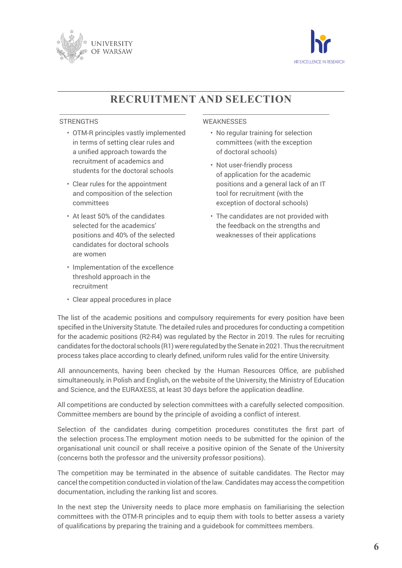



# **RECRUITMENT AND SELECTION**

### **STRENGTHS**

- OTM-R principles vastly implemented in terms of setting clear rules and a unified approach towards the recruitment of academics and students for the doctoral schools
- Clear rules for the appointment and composition of the selection committees
- At least 50% of the candidates selected for the academics' positions and 40% of the selected candidates for doctoral schools are women
- Implementation of the excellence threshold approach in the recruitment
- Clear appeal procedures in place

#### **WEAKNESSES**

- No regular training for selection committees (with the exception of doctoral schools)
- Not user-friendly process of application for the academic positions and a general lack of an IT tool for recruitment (with the exception of doctoral schools)
- The candidates are not provided with the feedback on the strengths and weaknesses of their applications

The list of the academic positions and compulsory requirements for every position have been specified in the University Statute. The detailed rules and procedures for conducting a competition for the academic positions (R2-R4) was regulated by the Rector in 2019. The rules for recruiting candidates forthe doctoral schools (R1) were regulated by the Senate in2021. Thus the recruitment process takes place according to clearly defined, uniform rules valid for the entire University.

All announcements, having been checked by the Human Resources Office, are published simultaneously, in Polish and English, on the website of the University, the Ministry of Education and Science, and the EURAXESS, at least 30 days before the application deadline.

All competitions are conducted by selection committees with a carefully selected composition. Committee members are bound by the principle of avoiding a conflict of interest.

Selection of the candidates during competition procedures constitutes the first part of the selection process.The employment motion needs to be submitted for the opinion of the organisational unit council or shall receive a positive opinion of the Senate of the University (concerns both the professor and the university professor positions).

The competition may be terminated in the absence of suitable candidates. The Rector may cancel the competition conducted in violation ofthe law. Candidates may access the competition documentation, including the ranking list and scores.

In the next step the University needs to place more emphasis on familiarising the selection committees with the OTM-R principles and to equip them with tools to better assess a variety of qualifications by preparing the training and a guidebook for committees members.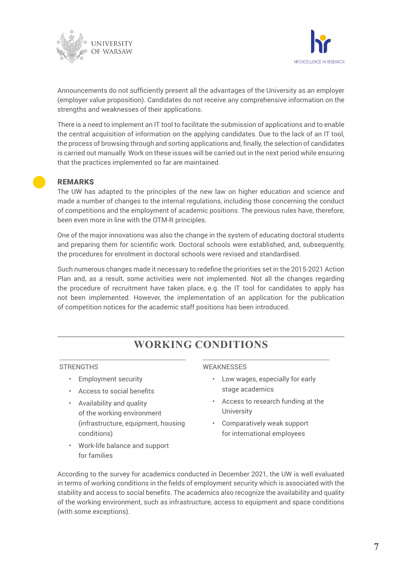



Announcements do not sufficiently present all the advantages of the University as an employer (employer value proposition). Candidates do not receive any comprehensive information on the strengths and weaknesses of their applications.

There is a need to implement an IT tool to facilitate the submission of applications and to enable the central acquisition of information on the applying candidates. Due to the lack of an IT tool, the process of browsing through and sorting applications and, finally, the selection of candidates is carried out manually. Work on these issues will be carried out in the next period while ensuring that the practices implemented so far are maintained.

### REMARKS

The UW has adapted to the principles of the new law on higher education and science and made a number of changes to the internal regulations, including those concerning the conduct of competitions and the employment of academic positions. The previous rules have, therefore, been even more in line with the OTM-R principles.

One of the major innovations was also the change in the system of educating doctoral students and preparing them for scientific work. Doctoral schools were established, and, subsequently, the procedures for enrolment in doctoral schools were revised and standardised.

Such numerous changes made it necessary to redefine the priorities set in the 2015-2021 Action Plan and, as a result, some activities were not implemented. Not all the changes regarding the procedure of recruitment have taken place, e.g. the IT tool for candidates to apply has not been implemented. However, the implementation of an application for the publication of competition notices for the academic staff positions has been introduced.

# **WORKING CONDITIONS**

### **STRENGTHS**

- Employment security
- Access to social benefits
- Availability and quality of the working environment (infrastructure, equipment, housing conditions)
- Work-life balance and support for families

#### **WEAKNESSES**

- Low wages, especially for early stage academics
- Access to research funding at the University
- Comparatively weak support for international employees

According to the survey for academics conducted in December 2021, the UW is well evaluated in terms of working conditions in the fields of employment security which is associated with the stability and access to social benefits. The academics also recognize the availability and quality of the working environment, such as infrastructure, access to equipment and space conditions (with some exceptions).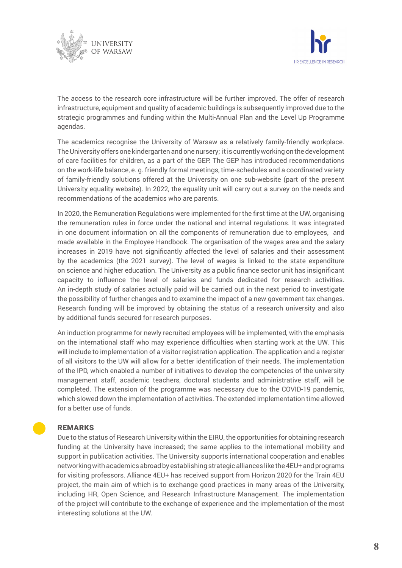



The access to the research core infrastructure will be further improved. The offer of research infrastructure, equipment and quality of academic buildings is subsequently improved due to the strategic programmes and funding within the Multi-Annual Plan and the Level Up Programme agendas.

The academics recognise the University of Warsaw as a relatively family-friendly workplace. The University offers one kindergarten and one nursery; it is currently working onthe development of care facilities for children, as a part of the GEP. The GEP has introduced recommendations on the work-life balance, e. g. friendly formal meetings, time-schedules and a coordinated variety of family-friendly solutions offered at the University on one sub-website (part of the present University equality website). In 2022, the equality unit will carry out a survey on the needs and recommendations of the academics who are parents.

In 2020, the Remuneration Regulations were implemented for the first time at the UW, organising the remuneration rules in force under the national and internal regulations. It was integrated in one document information on all the components of remuneration due to employees, and made available in the Employee Handbook. The organisation of the wages area and the salary increases in 2019 have not significantly affected the level of salaries and their assessment by the academics (the 2021 survey). The level of wages is linked to the state expenditure on science and higher education. The University as a public finance sector unit has insignificant capacity to influence the level of salaries and funds dedicated for research activities. An in-depth study of salaries actually paid will be carried out in the next period to investigate the possibility of further changes and to examine the impact of a new government tax changes. Research funding will be improved by obtaining the status of a research university and also by additional funds secured for research purposes.

An induction programme for newly recruited employees will be implemented, with the emphasis on the international staff who may experience difficulties when starting work at the UW. This will include to implementation of a visitor registration application. The application and a register of all visitors to the UW will allow for a better identification of their needs. The implementation of the IPD, which enabled a number of initiatives to develop the competencies of the university management staff, academic teachers, doctoral students and administrative staff, will be completed. The extension of the programme was necessary due to the COVID-19 pandemic, which slowed down the implementation of activities. The extended implementation time allowed for a better use of funds.

### REMARKS

Due to the status of Research University within the EIRU, the opportunities for obtaining research funding at the University have increased; the same applies to the international mobility and support in publication activities. The University supports international cooperation and enables networking with academics abroad by establishing strategic alliances like the 4EU+ and programs for visiting professors. Alliance 4EU+ has received support from Horizon 2020 for the Train 4EU project, the main aim of which is to exchange good practices in many areas of the University, including HR, Open Science, and Research Infrastructure Management. The implementation of the project will contribute to the exchange of experience and the implementation of the most interesting solutions at the UW.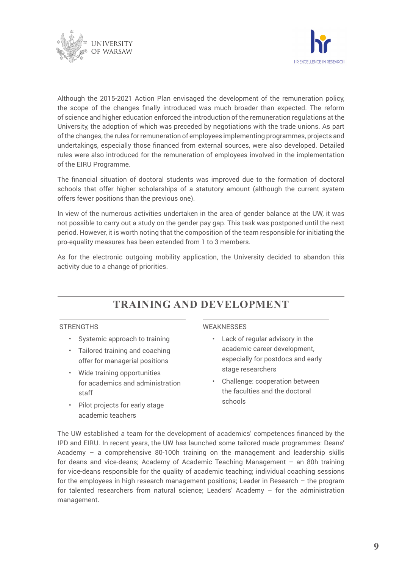



Although the 2015-2021 Action Plan envisaged the development of the remuneration policy, the scope of the changes finally introduced was much broader than expected. The reform of science and higher education enforced the introduction of the remuneration regulations at the University, the adoption of which was preceded by negotiations with the trade unions. As part ofthe changes, the rules forremuneration of employees implementing programmes, projects and undertakings, especially those financed from external sources, were also developed. Detailed rules were also introduced for the remuneration of employees involved in the implementation of the EIRU Programme.

The financial situation of doctoral students was improved due to the formation of doctoral schools that offer higher scholarships of a statutory amount (although the current system offers fewer positions than the previous one).

In view of the numerous activities undertaken in the area of gender balance at the UW, it was not possible to carry out a study on the gender pay gap. This task was postponed until the next period. However, it is worth noting that the composition of the team responsible for initiating the pro-equality measures has been extended from 1 to 3 members.

As for the electronic outgoing mobility application, the University decided to abandon this activity due to a change of priorities.

# **TRAINING AND DEVELOPMENT**

### **STRENGTHS**

- Systemic approach to training
- Tailored training and coaching offer for managerial positions
- Wide training opportunities for academics and administration staff
- Pilot projects for early stage academic teachers

#### WEAKNESSES

- Lack of regular advisory in the academic career development, especially for postdocs and early stage researchers
- Challenge: cooperation between the faculties and the doctoral schools

The UW established a team for the development of academics' competences financed by the IPD and EIRU. In recent years, the UW has launched some tailored made programmes: Deans' Academy – a comprehensive 80-100h training on the management and leadership skills for deans and vice-deans; Academy of Academic Teaching Management – an 80h training for vice-deans responsible for the quality of academic teaching; individual coaching sessions for the employees in high research management positions; Leader in Research – the program for talented researchers from natural science; Leaders' Academy – for the administration management.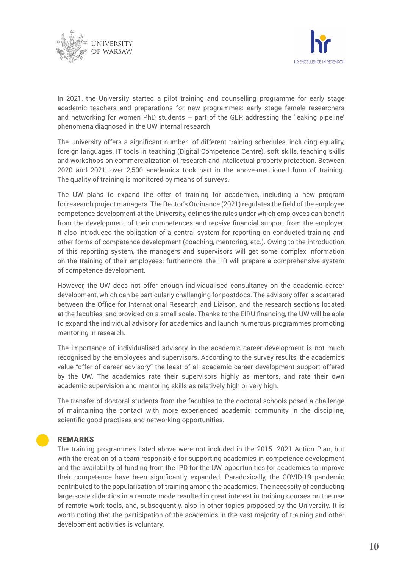



In 2021, the University started a pilot training and counselling programme for early stage academic teachers and preparations for new programmes: early stage female researchers and networking for women PhD students – part of the GEP, addressing the 'leaking pipeline' phenomena diagnosed in the UW internal research.

The University offers a significant number of different training schedules, including equality, foreign languages, IT tools in teaching (Digital Competence Centre), soft skills, teaching skills and workshops on commercialization of research and intellectual property protection. Between 2020 and 2021, over 2,500 academics took part in the above-mentioned form of training. The quality of training is monitored by means of surveys.

The UW plans to expand the offer of training for academics, including a new program for research project managers. The Rector's Ordinance (2021) regulates the field of the employee competence development at the University, defines the rules under which employees can benefit from the development of their competences and receive financial support from the employer. It also introduced the obligation of a central system for reporting on conducted training and other forms of competence development (coaching, mentoring, etc.). Owing to the introduction of this reporting system, the managers and supervisors will get some complex information on the training of their employees; furthermore, the HR will prepare a comprehensive system of competence development.

However, the UW does not offer enough individualised consultancy on the academic career development, which can be particularly challenging for postdocs. The advisory offer is scattered between the Office for International Research and Liaison, and the research sections located at the faculties, and provided on a small scale. Thanks to the EIRU financing, the UW will be able to expand the individual advisory for academics and launch numerous programmes promoting mentoring in research.

The importance of individualised advisory in the academic career development is not much recognised by the employees and supervisors. According to the survey results, the academics value "offer of career advisory" the least of all academic career development support offered by the UW. The academics rate their supervisors highly as mentors, and rate their own academic supervision and mentoring skills as relatively high or very high.

The transfer of doctoral students from the faculties to the doctoral schools posed a challenge of maintaining the contact with more experienced academic community in the discipline, scientific good practises and networking opportunities.

### REMARKS

The training programmes listed above were not included in the 2015–2021 Action Plan, but with the creation of a team responsible for supporting academics in competence development and the availability of funding from the IPD for the UW, opportunities for academics to improve their competence have been significantly expanded. Paradoxically, the COVID-19 pandemic contributed to the popularisation of training among the academics. The necessity of conducting large-scale didactics in a remote mode resulted in great interest in training courses on the use of remote work tools, and, subsequently, also in other topics proposed by the University. It is worth noting that the participation of the academics in the vast majority of training and other development activities is voluntary.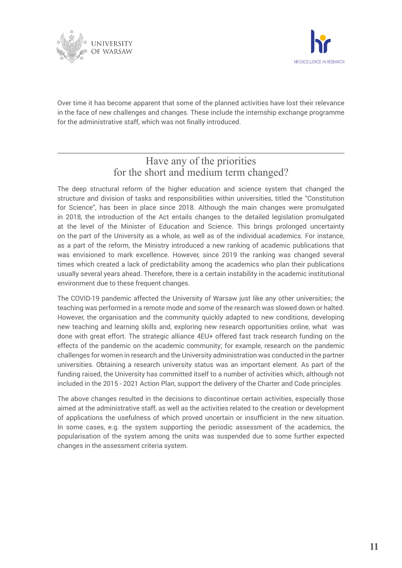



Over time it has become apparent that some of the planned activities have lost their relevance in the face of new challenges and changes. These include the internship exchange programme for the administrative staff, which was not finally introduced.

# Have any of the priorities for the short and medium term changed?

The deep structural reform of the higher education and science system that changed the structure and division of tasks and responsibilities within universities, titled the "Constitution for Science", has been in place since 2018. Although the main changes were promulgated in 2018, the introduction of the Act entails changes to the detailed legislation promulgated at the level of the Minister of Education and Science. This brings prolonged uncertainty on the part of the University as a whole, as well as of the individual academics. For instance, as a part of the reform, the Ministry introduced a new ranking of academic publications that was envisioned to mark excellence. However, since 2019 the ranking was changed several times which created a lack of predictability among the academics who plan their publications usually several years ahead. Therefore, there is a certain instability in the academic institutional environment due to these frequent changes.

The COVID-19 pandemic affected the University of Warsaw just like any other universities; the teaching was performed in a remote mode and some of the research was slowed down or halted. However, the organisation and the community quickly adapted to new conditions, developing new teaching and learning skills and, exploring new research opportunities online, what was done with great effort. The strategic alliance 4EU+ offered fast track research funding on the effects of the pandemic on the academic community; for example, research on the pandemic challenges for women in research and the University administration was conducted in the partner universities. Obtaining a research university status was an important element. As part of the funding raised, the University has committed itself to a number of activities which, although not included in the 2015 - 2021 Action Plan, support the delivery of the Charter and Code principles.

The above changes resulted in the decisions to discontinue certain activities, especially those aimed at the administrative staff, as well as the activities related to the creation or development of applications the usefulness of which proved uncertain or insufficient in the new situation. In some cases, e.g. the system supporting the periodic assessment of the academics, the popularisation of the system among the units was suspended due to some further expected changes in the assessment criteria system.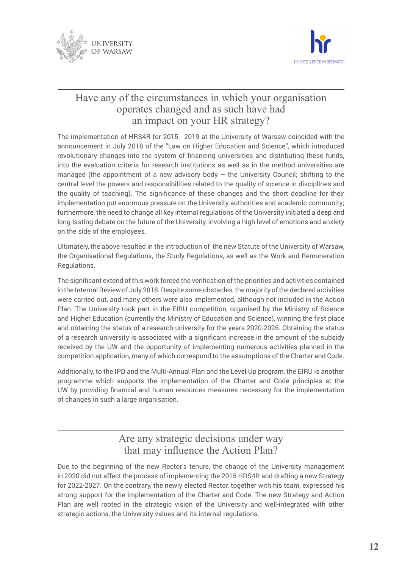



# Have any of the circumstances in which your organisation operates changed and as such have had an impact on your HR strategy?

The implementation of HRS4R for 2015 - 2019 at the University of Warsaw coincided with the announcement in July 2018 of the "Law on Higher Education and Science", which introduced revolutionary changes into the system of financing universities and distributing these funds, into the evaluation criteria for research institutions as well as in the method universities are managed (the appointment of a new advisory body  $-$  the University Council; shifting to the central level the powers and responsibilities related to the quality of science in disciplines and the quality of teaching). The significance of these changes and the short deadline for their implementation put enormous pressure on the University authorities and academic community; furthermore, the need to change all key internal regulations of the University initiated a deep and long-lasting debate on the future of the University, involving a high level of emotions and anxiety on the side of the employees.

Ultimately, the above resulted in the introduction of the new Statute of the University of Warsaw, the Organisational Regulations, the Study Regulations, as well as the Work and Remuneration Regulations.

The significant extend of this work forced the verification of the priorities and activities contained in the Internal Review of July 2018. Despite some obstacles, the majority of the declared activities were carried out, and many others were also implemented, although not included in the Action Plan. The University took part in the EIRU competition, organised by the Ministry of Science and Higher Education (currently the Ministry of Education and Science), winning the first place and obtaining the status of a research university for the years 2020-2026. Obtaining the status of a research university is associated with a significant increase in the amount of the subsidy received by the UW and the opportunity of implementing numerous activities planned in the competition application, many of which correspond to the assumptions of the Charter and Code.

Additionally, to the IPD and the Multi-Annual Plan and the Level Up program, the EIRU is another programme which supports the implementation of the Charter and Code principles at the UW by providing financial and human resources measures necessary for the implementation of changes in such a large organisation.

# Are any strategic decisions under way that may influence the Action Plan?

Due to the beginning of the new Rector's tenure, the change of the University management in 2020 did not affect the process of implementing the 2015 HRS4R and drafting a new Strategy for 2022-2027. On the contrary, the newly elected Rector, together with his team, expressed his strong support for the implementation of the Charter and Code. The new Strategy and Action Plan are well rooted in the strategic vision of the University and well-integrated with other strategic actions, the University values and its internal regulations.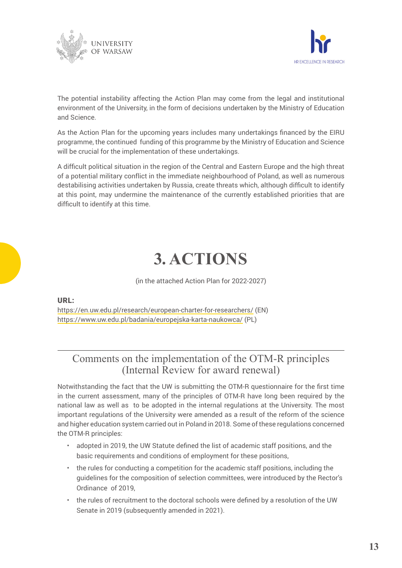



The potential instability affecting the Action Plan may come from the legal and institutional environment of the University, in the form of decisions undertaken by the Ministry of Education and Science.

As the Action Plan for the upcoming years includes many undertakings financed by the EIRU programme, the continued funding of this programme by the Ministry of Education and Science will be crucial for the implementation of these undertakings.

A difficult political situation in the region of the Central and Eastern Europe and the high threat of a potential military conflict in the immediate neighbourhood of Poland, as well as numerous destabilising activities undertaken by Russia, create threats which, although difficult to identify at this point, may undermine the maintenance of the currently established priorities that are difficult to identify at this time.

# **3. ACTIONS**

(in the attached Action Plan for 2022-2027)

### URL:

https://en.uw.edu.pl/research/european-charter-for-researchers/ (EN) https://www.uw.edu.pl/badania/europejska-karta-naukowca/ (PL)

# Comments on the implementation of the OTM-R principles (Internal Review for award renewal)

Notwithstanding the fact that the UW is submitting the OTM-R questionnaire for the first time in the current assessment, many of the principles of OTM-R have long been required by the national law as well as to be adopted in the internal regulations at the University. The most important regulations of the University were amended as a result of the reform of the science and higher education system carried out in Poland in 2018. Some of these regulations concerned the OTM-R principles:

- adopted in 2019, the UW Statute defined the list of academic staff positions, and the basic requirements and conditions of employment for these positions,
- the rules for conducting a competition for the academic staff positions, including the guidelines for the composition of selection committees, were introduced by the Rector's Ordinance of 2019,
- the rules of recruitment to the doctoral schools were defined by a resolution of the UW Senate in 2019 (subsequently amended in 2021).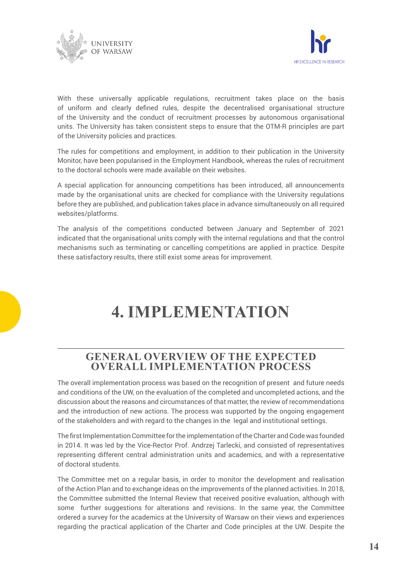



With these universally applicable regulations, recruitment takes place on the basis of uniform and clearly defined rules, despite the decentralised organisational structure of the University and the conduct of recruitment processes by autonomous organisational units. The University has taken consistent steps to ensure that the OTM-R principles are part of the University policies and practices.

The rules for competitions and employment, in addition to their publication in the University Monitor, have been popularised in the Employment Handbook, whereas the rules of recruitment to the doctoral schools were made available on their websites.

A special application for announcing competitions has been introduced, all announcements made by the organisational units are checked for compliance with the University regulations before they are published, and publication takes place in advance simultaneously on all required websites/platforms.

The analysis of the competitions conducted between January and September of 2021 indicated that the organisational units comply with the internal regulations and that the control mechanisms such as terminating or cancelling competitions are applied in practice. Despite these satisfactory results, there still exist some areas for improvement.

# **4. IMPLEMENTATION**

### **GENERAL OVERVIEW OF THE EXPECTED OVERALL IMPLEMENTATION PROCESS**

The overall implementation process was based on the recognition of present and future needs and conditions of the UW, on the evaluation of the completed and uncompleted actions, and the discussion about the reasons and circumstances of that matter, the review of recommendations and the introduction of new actions. The process was supported by the ongoing engagement of the stakeholders and with regard to the changes in the legal and institutional settings.

The first Implementation Committee forthe implementation ofthe Charter and Code was founded in 2014. It was led by the Vice-Rector Prof. Andrzej Tarlecki, and consisted of representatives representing different central administration units and academics, and with a representative of doctoral students.

The Committee met on a regular basis, in order to monitor the development and realisation of the Action Plan and to exchange ideas on the improvements of the planned activities. In 2018, the Committee submitted the Internal Review that received positive evaluation, although with some further suggestions for alterations and revisions. In the same year, the Committee ordered a survey for the academics at the University of Warsaw on their views and experiences regarding the practical application of the Charter and Code principles at the UW. Despite the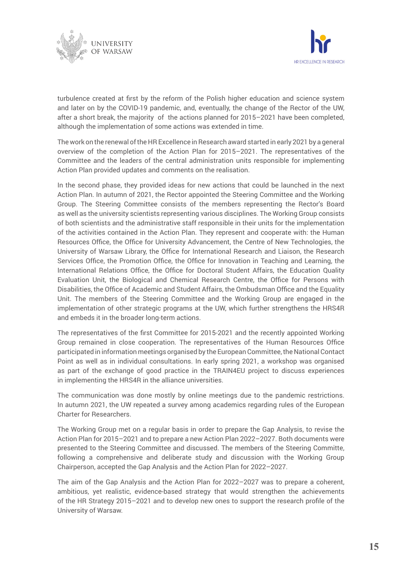



turbulence created at first by the reform of the Polish higher education and science system and later on by the COVID-19 pandemic, and, eventually, the change of the Rector of the UW, after a short break, the majority of the actions planned for 2015–2021 have been completed, although the implementation of some actions was extended in time.

The work on the renewal of the HR Excellence in Research award started in early 2021 by a general overview of the completion of the Action Plan for 2015–2021. The representatives of the Committee and the leaders of the central administration units responsible for implementing Action Plan provided updates and comments on the realisation.

In the second phase, they provided ideas for new actions that could be launched in the next Action Plan. In autumn of 2021, the Rector appointed the Steering Committee and the Working Group. The Steering Committee consists of the members representing the Rector's Board as well as the university scientists representing various disciplines. The Working Group consists of both scientists and the administrative staff responsible in their units for the implementation of the activities contained in the Action Plan. They represent and cooperate with: the Human Resources Office, the Office for University Advancement, the Centre of New Technologies, the University of Warsaw Library, the Office for International Research and Liaison, the Research Services Office, the Promotion Office, the Office for Innovation in Teaching and Learning, the International Relations Office, the Office for Doctoral Student Affairs, the Education Quality Evaluation Unit, the Biological and Chemical Research Centre, the Office for Persons with Disabilities, the Office of Academic and Student Affairs, the Ombudsman Office and the Equality Unit. The members of the Steering Committee and the Working Group are engaged in the implementation of other strategic programs at the UW, which further strengthens the HRS4R and embeds it in the broader long-term actions.

The representatives of the first Committee for 2015-2021 and the recently appointed Working Group remained in close cooperation. The representatives of the Human Resources Office participated in information meetings organised by the European Committee, the National Contact Point as well as in individual consultations. In early spring 2021, a workshop was organised as part of the exchange of good practice in the TRAIN4EU project to discuss experiences in implementing the HRS4R in the alliance universities.

The communication was done mostly by online meetings due to the pandemic restrictions. In autumn 2021, the UW repeated a survey among academics regarding rules of the European Charter for Researchers.

The Working Group met on a regular basis in order to prepare the Gap Analysis, to revise the Action Plan for 2015–2021 and to prepare a new Action Plan 2022–2027. Both documents were presented to the Steering Committee and discussed. The members of the Steering Committe, following a comprehensive and deliberate study and discussion with the Working Group Chairperson, accepted the Gap Analysis and the Action Plan for 2022–2027.

The aim of the Gap Analysis and the Action Plan for 2022–2027 was to prepare a coherent, ambitious, yet realistic, evidence-based strategy that would strengthen the achievements of the HR Strategy 2015–2021 and to develop new ones to support the research profile of the University of Warsaw.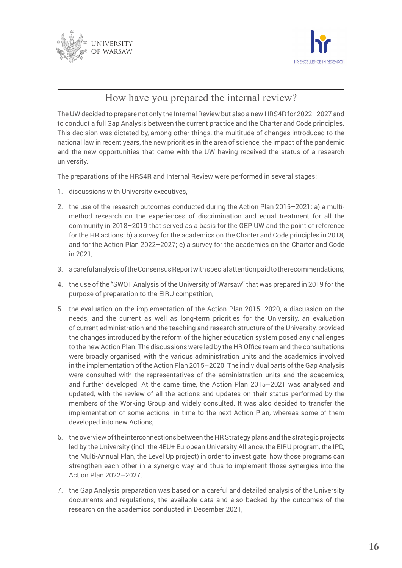



# How have you prepared the internal review?

The UW decided to prepare not only the Internal Review but also a new HRS4R for 2022–2027 and to conduct a full Gap Analysis between the current practice and the Charter and Code principles. This decision was dictated by, among other things, the multitude of changes introduced to the national law in recent years, the new priorities in the area of science, the impact of the pandemic and the new opportunities that came with the UW having received the status of a research university.

The preparations of the HRS4R and Internal Review were performed in several stages:

- 1. discussions with University executives,
- 2. the use of the research outcomes conducted during the Action Plan 2015–2021: a) a multimethod research on the experiences of discrimination and equal treatment for all the community in 2018–2019 that served as a basis for the GEP UW and the point of reference for the HR actions; b) a survey for the academics on the Charter and Code principles in 2018, and for the Action Plan 2022–2027; c) a survey for the academics on the Charter and Code in 2021,
- 3. a careful analysis ofthe Consensus Report with special attention paid to the recommendations,
- 4. the use of the "SWOT Analysis of the University of Warsaw" that was prepared in 2019 for the purpose of preparation to the EIRU competition,
- 5. the evaluation on the implementation of the Action Plan 2015–2020, a discussion on the needs, and the current as well as long-term priorities for the University, an evaluation of current administration and the teaching and research structure of the University, provided the changes introduced by the reform of the higher education system posed any challenges to the new Action Plan. The discussions were led by the HR Office team and the consultations were broadly organised, with the various administration units and the academics involved in the implementation ofthe Action Plan 2015–2020. The individual parts of the Gap Analysis were consulted with the representatives of the administration units and the academics, and further developed. At the same time, the Action Plan 2015–2021 was analysed and updated, with the review of all the actions and updates on their status performed by the members of the Working Group and widely consulted. It was also decided to transfer the implementation of some actions in time to the next Action Plan, whereas some of them developed into new Actions,
- 6. the overview ofthe interconnections between the HR Strategy plans and the strategic projects led by the University (incl. the 4EU+ European University Alliance, the EIRU program, the IPD, the Multi-Annual Plan, the Level Up project) in order to investigate how those programs can strengthen each other in a synergic way and thus to implement those synergies into the Action Plan 2022–2027,
- 7. the Gap Analysis preparation was based on a careful and detailed analysis of the University documents and regulations, the available data and also backed by the outcomes of the research on the academics conducted in December 2021,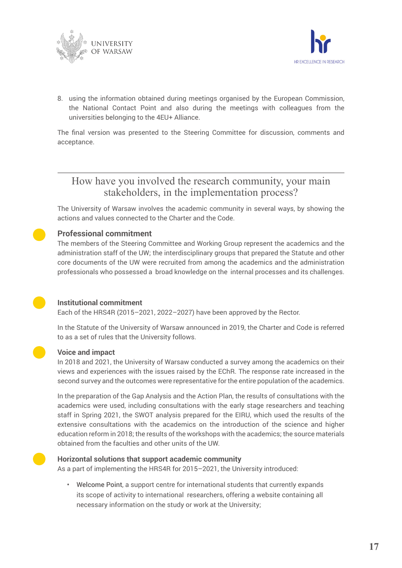



8. using the information obtained during meetings organised by the European Commission, the National Contact Point and also during the meetings with colleagues from the universities belonging to the 4EU+ Alliance.

The final version was presented to the Steering Committee for discussion, comments and acceptance.

### How have you involved the research community, your main stakeholders, in the implementation process?

The University of Warsaw involves the academic community in several ways, by showing the actions and values connected to the Charter and the Code.

### **Professional commitment**

The members of the Steering Committee and Working Group represent the academics and the administration staff of the UW; the interdisciplinary groups that prepared the Statute and other core documents of the UW were recruited from among the academics and the administration professionals who possessed a broad knowledge on the internal processes and its challenges.



### **Institutional commitment**

Each of the HRS4R (2015–2021, 2022–2027) have been approved by the Rector.

In the Statute of the University of Warsaw announced in 2019, the Charter and Code is referred to as a set of rules that the University follows.

#### **Voice and impact**

In 2018 and 2021, the University of Warsaw conducted a survey among the academics on their views and experiences with the issues raised by the EChR. The response rate increased in the second survey and the outcomes were representative for the entire population of the academics.

In the preparation of the Gap Analysis and the Action Plan, the results of consultations with the academics were used, including consultations with the early stage researchers and teaching staff in Spring 2021, the SWOT analysis prepared for the EIRU, which used the results of the extensive consultations with the academics on the introduction of the science and higher education reform in 2018; the results of the workshops with the academics; the source materials obtained from the faculties and other units of the UW.



#### **Horizontal solutions that support academic community**

As a part of implementing the HRS4R for 2015–2021, the University introduced:

• Welcome Point, a support centre for international students that currently expands its scope of activity to international researchers, offering a website containing all necessary information on the study or work at the University;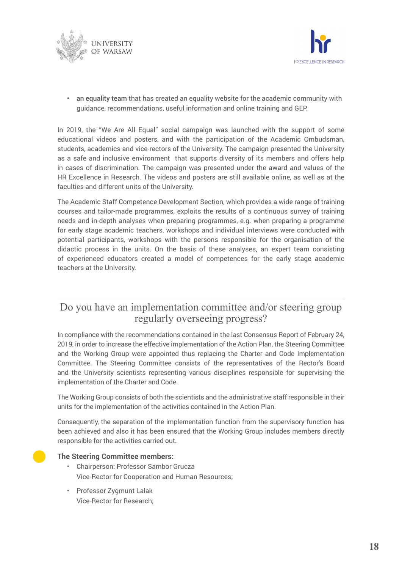



• an equality team that has created an equality website for the academic community with guidance, recommendations, useful information and online training and GEP.

In 2019, the "We Are All Equal" social campaign was launched with the support of some educational videos and posters, and with the participation of the Academic Ombudsman, students, academics and vice-rectors of the University. The campaign presented the University as a safe and inclusive environment that supports diversity of its members and offers help in cases of discrimination. The campaign was presented under the award and values of the HR Excellence in Research. The videos and posters are still available online, as well as at the faculties and different units of the University.

The Academic Staff Competence Development Section, which provides a wide range of training courses and tailor-made programmes, exploits the results of a continuous survey of training needs and in-depth analyses when preparing programmes, e.g. when preparing a programme for early stage academic teachers, workshops and individual interviews were conducted with potential participants, workshops with the persons responsible for the organisation of the didactic process in the units. On the basis of these analyses, an expert team consisting of experienced educators created a model of competences for the early stage academic teachers at the University.

### Do you have an implementation committee and/or steering group regularly overseeing progress?

In compliance with the recommendations contained in the last Consensus Report of February 24, 2019, in order to increase the effective implementation of the Action Plan, the Steering Committee and the Working Group were appointed thus replacing the Charter and Code Implementation Committee. The Steering Committee consists of the representatives of the Rector's Board and the University scientists representing various disciplines responsible for supervising the implementation of the Charter and Code.

The Working Group consists of both the scientists and the administrative staff responsible in their units for the implementation of the activities contained in the Action Plan.

Consequently, the separation of the implementation function from the supervisory function has been achieved and also it has been ensured that the Working Group includes members directly responsible for the activities carried out.

### **The Steering Committee members:**

- Chairperson: Professor Sambor Grucza Vice-Rector for Cooperation and Human Resources;
- Professor Zygmunt Lalak Vice-Rector for Research;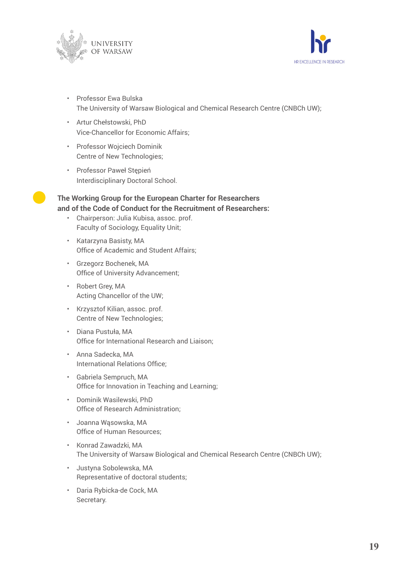



- Professor Ewa Bulska The University of Warsaw Biological and Chemical Research Centre (CNBCh UW);
- Artur Chełstowski, PhD Vice-Chancellor for Economic Affairs;
- Professor Wojciech Dominik Centre of New Technologies;
- Professor Paweł Stępień Interdisciplinary Doctoral School.

### **The Working Group for the European Charter for Researchers and of the Code of Conduct for the Recruitment of Researchers:**

- Chairperson: Julia Kubisa, assoc. prof. Faculty of Sociology, Equality Unit;
- Katarzyna Basisty, MA Office of Academic and Student Affairs;
- Grzegorz Bochenek, MA Office of University Advancement;
- Robert Grey, MA Acting Chancellor of the UW;
- Krzysztof Kilian, assoc. prof. Centre of New Technologies;
- Diana Pustuła, MA Office for International Research and Liaison;
- Anna Sadecka, MA International Relations Office;
- Gabriela Sempruch, MA Office for Innovation in Teaching and Learning;
- Dominik Wasilewski, PhD Office of Research Administration;
- Joanna Wąsowska, MA Office of Human Resources;
- Konrad Zawadzki, MA The University of Warsaw Biological and Chemical Research Centre (CNBCh UW);
- Justyna Sobolewska, MA Representative of doctoral students;
- Daria Rybicka-de Cock, MA Secretary.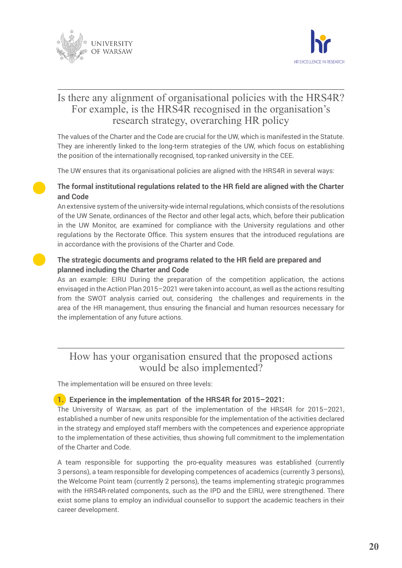



# Is there any alignment of organisational policies with the HRS4R? For example, is the HRS4R recognised in the organisation's research strategy, overarching HR policy

The values of the Charter and the Code are crucial for the UW, which is manifested in the Statute. They are inherently linked to the long-term strategies of the UW, which focus on establishing the position of the internationally recognised, top-ranked university in the CEE.

The UW ensures that its organisational policies are aligned with the HRS4R in several ways:

### **The formal institutional regulations related to the HR field are aligned with the Charter and Code**

An extensive system of the university-wide internal regulations, which consists of the resolutions of the UW Senate, ordinances of the Rector and other legal acts, which, before their publication in the UW Monitor, are examined for compliance with the University regulations and other regulations by the Rectorate Office. This system ensures that the introduced regulations are in accordance with the provisions of the Charter and Code.

### **The strategic documents and programs related to the HR field are prepared and planned including the Charter and Code**

As an example: EIRU During the preparation of the competition application, the actions envisaged in the Action Plan 2015–2021 were taken into account, as well as the actions resulting from the SWOT analysis carried out, considering the challenges and requirements in the area of the HR management, thus ensuring the financial and human resources necessary for the implementation of any future actions.

### How has your organisation ensured that the proposed actions would be also implemented?

The implementation will be ensured on three levels:

### **1. Experience in the implementation of the HRS4R for 2015–2021:**

The University of Warsaw, as part of the implementation of the HRS4R for 2015–2021, established a number of new units responsible for the implementation of the activities declared in the strategy and employed staff members with the competences and experience appropriate to the implementation of these activities, thus showing full commitment to the implementation of the Charter and Code.

A team responsible for supporting the pro-equality measures was established (currently 3 persons), a team responsible for developing competences of academics (currently 3 persons), the Welcome Point team (currently 2 persons), the teams implementing strategic programmes with the HRS4R-related components, such as the IPD and the EIRU, were strengthened. There exist some plans to employ an individual counsellor to support the academic teachers in their career development.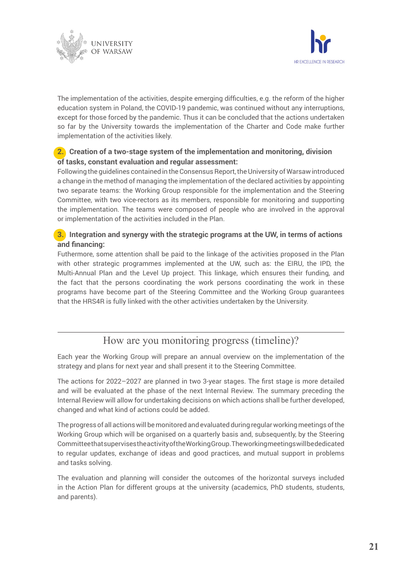



The implementation of the activities, despite emerging difficulties, e.g. the reform of the higher education system in Poland, the COVID-19 pandemic, was continued without any interruptions, except for those forced by the pandemic. Thus it can be concluded that the actions undertaken so far by the University towards the implementation of the Charter and Code make further implementation of the activities likely.

### **2. Creation of a two-stage system of the implementation and monitoring, division of tasks, constant evaluation and regular assessment:**

Following the guidelines contained in the Consensus Report, the University of Warsaw introduced a change in the method of managing the implementation of the declared activities by appointing two separate teams: the Working Group responsible for the implementation and the Steering Committee, with two vice-rectors as its members, responsible for monitoring and supporting the implementation. The teams were composed of people who are involved in the approval or implementation of the activities included in the Plan.

### **3. Integration and synergy with the strategic programs at the UW, in terms of actions and financing:**

Futhermore, some attention shall be paid to the linkage of the activities proposed in the Plan with other strategic programmes implemented at the UW, such as: the EIRU, the IPD, the Multi-Annual Plan and the Level Up project. This linkage, which ensures their funding, and the fact that the persons coordinating the work persons coordinating the work in these programs have become part of the Steering Committee and the Working Group guarantees that the HRS4R is fully linked with the other activities undertaken by the University.

# How are you monitoring progress (timeline)?

Each year the Working Group will prepare an annual overview on the implementation of the strategy and plans for next year and shall present it to the Steering Committee.

The actions for 2022–2027 are planned in two 3-year stages. The first stage is more detailed and will be evaluated at the phase of the next Internal Review. The summary preceding the Internal Review will allow for undertaking decisions on which actions shall be further developed, changed and what kind of actions could be added.

The progress of all actions will be monitored and evaluated during regular working meetings ofthe Working Group which will be organised on a quarterly basis and, subsequently, by the Steering Committee that supervises the activity ofthe Working Group. The working meetings will be dedicated to regular updates, exchange of ideas and good practices, and mutual support in problems and tasks solving.

The evaluation and planning will consider the outcomes of the horizontal surveys included in the Action Plan for different groups at the university (academics, PhD students, students, and parents).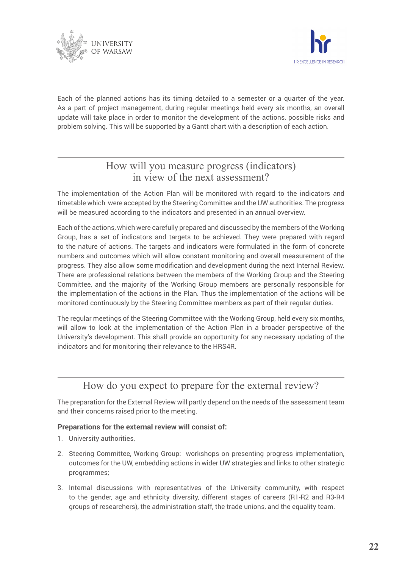



Each of the planned actions has its timing detailed to a semester or a quarter of the year. As a part of project management, during regular meetings held every six months, an overall update will take place in order to monitor the development of the actions, possible risks and problem solving. This will be supported by a Gantt chart with a description of each action.

# How will you measure progress (indicators) in view of the next assessment?

The implementation of the Action Plan will be monitored with regard to the indicators and timetable which were accepted by the Steering Committee and the UW authorities. The progress will be measured according to the indicators and presented in an annual overview.

Each of the actions, which were carefully prepared and discussed by the members of the Working Group, has a set of indicators and targets to be achieved. They were prepared with regard to the nature of actions. The targets and indicators were formulated in the form of concrete numbers and outcomes which will allow constant monitoring and overall measurement of the progress. They also allow some modification and development during the next Internal Review. There are professional relations between the members of the Working Group and the Steering Committee, and the majority of the Working Group members are personally responsible for the implementation of the actions in the Plan. Thus the implementation of the actions will be monitored continuously by the Steering Committee members as part of their regular duties.

The regular meetings of the Steering Committee with the Working Group, held every six months, will allow to look at the implementation of the Action Plan in a broader perspective of the University's development. This shall provide an opportunity for any necessary updating of the indicators and for monitoring their relevance to the HRS4R.

# How do you expect to prepare for the external review?

The preparation for the External Review will partly depend on the needs of the assessment team and their concerns raised prior to the meeting.

### **Preparations for the external review will consist of:**

- 1. University authorities,
- 2. Steering Committee, Working Group: workshops on presenting progress implementation, outcomes for the UW, embedding actions in wider UW strategies and links to other strategic programmes;
- 3. Internal discussions with representatives of the University community, with respect to the gender, age and ethnicity diversity, different stages of careers (R1-R2 and R3-R4 groups of researchers), the administration staff, the trade unions, and the equality team.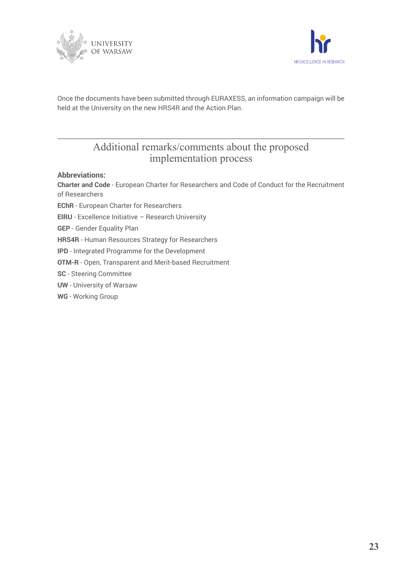



Once the documents have been submitted through EURAXESS, an information campaign will be held at the University on the new HRS4R and the Action Plan.

# Additional remarks/comments about the proposed implementation process

**Abbreviations:**

**Charter and Code** - European Charter for Researchers and Code of Conduct for the Recruitment of Researchers

- **EChR** European Charter for Researchers
- **EIRU**  Excellence Initiative Research University

**GEP** - Gender Equality Plan

**HRS4R** - Human Resources Strategy for Researchers

**IPD** - Integrated Programme for the Development

**OTM-R** - Open, Transparent and Merit-based Recruitment

**SC** - Steering Committee

**UW** - University of Warsaw

**WG** - Working Group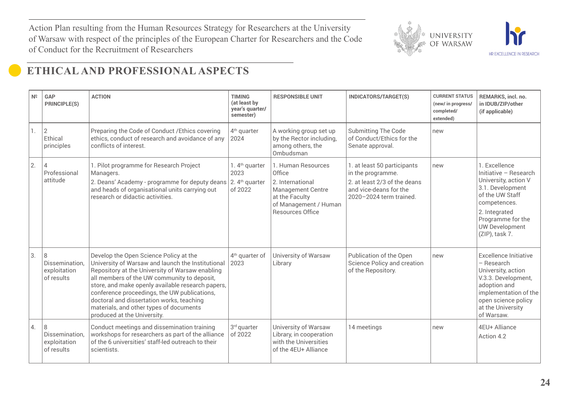

# **ETHICAL AND PROFESSIONAL ASPECTS**

| N <sup>o</sup> | GAP<br>PRINCIPLE(S)                               | <b>ACTION</b>                                                                                                                                                                                                                                                                                                                                                                                                             | <b>TIMING</b><br>(at least by<br>year's quarter/<br>semester)               | <b>RESPONSIBLE UNIT</b>                                                                                                                     | INDICATORS/TARGET(S)                                                                                                                  | <b>CURRENT STATUS</b><br>(new/ in progress/<br>completed/<br>extended) | REMARKS, incl. no.<br>in IDUB/ZIP/other<br>(if applicable)                                                                                                                                             |
|----------------|---------------------------------------------------|---------------------------------------------------------------------------------------------------------------------------------------------------------------------------------------------------------------------------------------------------------------------------------------------------------------------------------------------------------------------------------------------------------------------------|-----------------------------------------------------------------------------|---------------------------------------------------------------------------------------------------------------------------------------------|---------------------------------------------------------------------------------------------------------------------------------------|------------------------------------------------------------------------|--------------------------------------------------------------------------------------------------------------------------------------------------------------------------------------------------------|
|                | $\overline{2}$<br>Ethical<br>principles           | Preparing the Code of Conduct / Ethics covering<br>ethics, conduct of research and avoidance of any<br>conflicts of interest.                                                                                                                                                                                                                                                                                             | 4 <sup>th</sup> quarter<br>2024                                             | A working group set up<br>by the Rector including,<br>among others, the<br>Ombudsman                                                        | <b>Submitting The Code</b><br>of Conduct/Ethics for the<br>Senate approval.                                                           | new                                                                    |                                                                                                                                                                                                        |
| 2.             | $\overline{4}$<br>Professional<br>attitude        | 1. Pilot programme for Research Project<br>Managers.<br>2. Deans' Academy - programme for deputy deans<br>and heads of organisational units carrying out<br>research or didactic activities.                                                                                                                                                                                                                              | 1. 4 <sup>th</sup> quarter<br>2023<br>2. 4 <sup>th</sup> quarter<br>of 2022 | 1. Human Resources<br>Office<br>2. International<br><b>Management Centre</b><br>at the Faculty<br>of Management / Human<br>Resources Office | 1. at least 50 participants<br>in the programme.<br>2. at least 2/3 of the deans<br>and vice-deans for the<br>2020-2024 term trained. | new                                                                    | 1. Excellence<br>Initiative - Research<br>University, action V<br>3.1. Development<br>of the UW Staff<br>competences.<br>2. Integrated<br>Programme for the<br><b>UW Development</b><br>(ZIP), task 7. |
| 3.             | 8<br>Dissemination,<br>exploitation<br>of results | Develop the Open Science Policy at the<br>University of Warsaw and launch the Institutional<br>Repository at the University of Warsaw enabling<br>all members of the UW community to deposit,<br>store, and make openly available research papers,<br>conference proceedings, the UW publications,<br>doctoral and dissertation works, teaching<br>materials, and other types of documents<br>produced at the University. | 4 <sup>th</sup> quarter of<br>2023                                          | University of Warsaw<br>Library                                                                                                             | Publication of the Open<br>Science Policy and creation<br>of the Repository.                                                          | new                                                                    | <b>Excellence Initiative</b><br>- Research<br>University, action<br>V.3.3. Development,<br>adoption and<br>implementation of the<br>open science policy<br>at the University<br>of Warsaw.             |
| 4.             | 8<br>Dissemination,<br>exploitation<br>of results | Conduct meetings and dissemination training<br>workshops for researchers as part of the alliance<br>of the 6 universities' staff-led outreach to their<br>scientists.                                                                                                                                                                                                                                                     | 3rd quarter<br>of 2022                                                      | University of Warsaw<br>Library, in cooperation<br>with the Universities<br>of the 4EU+ Alliance                                            | 14 meetings                                                                                                                           | new                                                                    | 4EU+ Alliance<br>Action 4.2                                                                                                                                                                            |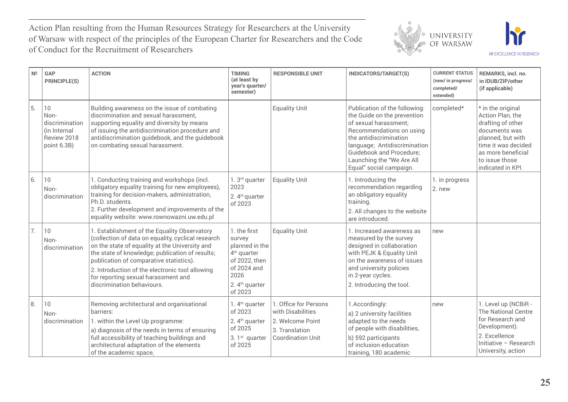



| $N^{\circ}$      | GAP<br>PRINCIPLE(S)                                                        | <b>ACTION</b>                                                                                                                                                                                                                                                                                                                                                              | <b>TIMING</b><br>(at least by<br>year's quarter/<br>semester)                                                                                        | <b>RESPONSIBLE UNIT</b>                                                                                      | INDICATORS/TARGET(S)                                                                                                                                                                                                                                                   | <b>CURRENT STATUS</b><br>(new/ in progress/<br>completed/<br>extended) | REMARKS, incl. no.<br>in IDUB/ZIP/other<br>(if applicable)                                                                                                                           |
|------------------|----------------------------------------------------------------------------|----------------------------------------------------------------------------------------------------------------------------------------------------------------------------------------------------------------------------------------------------------------------------------------------------------------------------------------------------------------------------|------------------------------------------------------------------------------------------------------------------------------------------------------|--------------------------------------------------------------------------------------------------------------|------------------------------------------------------------------------------------------------------------------------------------------------------------------------------------------------------------------------------------------------------------------------|------------------------------------------------------------------------|--------------------------------------------------------------------------------------------------------------------------------------------------------------------------------------|
| 5.               | 10<br>Non-<br>discrimination<br>(in Internal<br>Review 2018<br>point 6.3B) | Building awareness on the issue of combating<br>discrimination and sexual harassment,<br>supporting equality and diversity by means<br>of issuing the antidiscrimination procedure and<br>antidiscrimination guidebook, and the guidebook<br>on combating sexual harassment.                                                                                               |                                                                                                                                                      | <b>Equality Unit</b>                                                                                         | Publication of the following:<br>the Guide on the prevention<br>of sexual harassment;<br>Recommendations on using<br>the antidiscrimination<br>language; Antidiscrimination<br><b>Guidebook and Procedure;</b><br>Launching the "We Are All<br>Equal" social campaign. | completed*                                                             | * in the original<br>Action Plan, the<br>drafting of other<br>documents was<br>planned, but with<br>time it was decided<br>as more beneficial<br>to issue those<br>indicated in KPI. |
| 6.               | 10<br>Non-<br>discrimination                                               | 1. Conducting training and workshops (incl.<br>obligatory equality training for new employees),<br>training for decision-makers, administration,<br>Ph.D. students.<br>2. Further development and improvements of the<br>equality website: www.rownowazni.uw.edu.pl                                                                                                        | 1. 3rd quarter<br>2023<br>2. 4 <sup>th</sup> quarter<br>of 2023                                                                                      | <b>Equality Unit</b>                                                                                         | 1. Introducing the<br>recommendation regarding<br>an obligatory equality<br>training.<br>2. All changes to the website<br>are introduced.                                                                                                                              | 1. in progress<br>2. new                                               |                                                                                                                                                                                      |
| $\overline{7}$ . | 10<br>$Non-$<br>discrimination                                             | 1. Establishment of the Equality Observatory<br>(collection of data on equality, cyclical research<br>on the state of equality at the University and<br>the state of knowledge; publication of results;<br>publication of comparative statistics).<br>2. Introduction of the electronic tool allowing<br>for reporting sexual harassment and<br>discrimination behaviours. | 1. the first<br>survey<br>planned in the<br>4 <sup>th</sup> quarter<br>of 2022, then<br>of 2024 and<br>2026<br>2. 4 <sup>th</sup> quarter<br>of 2023 | <b>Equality Unit</b>                                                                                         | 1. Increased awareness as<br>measured by the survey<br>designed in collaboration<br>with PEJK & Equality Unit<br>on the awareness of issues<br>and university policies<br>in 2-year cycles.<br>2. Introducing the tool.                                                | new                                                                    |                                                                                                                                                                                      |
| 8                | 10<br>Non-<br>discrimination                                               | Removing architectural and organisational<br>barriers:<br>1. within the Level Up programme:<br>a) diagnosis of the needs in terms of ensuring<br>full accessibility of teaching buildings and<br>architectural adaptation of the elements<br>of the academic space,                                                                                                        | 1. $4th$ quarter<br>of 2023<br>2. 4 <sup>th</sup> quarter<br>of 2025<br>3. 1 <sup>st</sup> quarter<br>of 2025                                        | 1. Office for Persons<br>with Disabilities<br>2. Welcome Point<br>3. Translation<br><b>Coordination Unit</b> | 1.Accordingly:<br>a) 2 university facilities<br>adapted to the needs<br>of people with disabilities,<br>b) 592 participants<br>of inclusion education<br>training, 180 academic                                                                                        | new                                                                    | 1. Level up (NCBiR -<br>The National Centre<br>for Research and<br>Development).<br>2. Excellence<br>Initiative - Research<br>University, action                                     |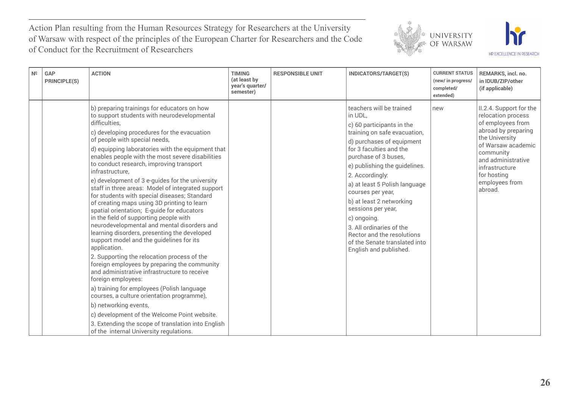



| N <sup>o</sup> | <b>GAP</b><br>PRINCIPLE(S) | <b>ACTION</b>                                                                                                                                                                                                                                                                                                                                                                                                                                                                                                                                                                                                                                                                                                                                                                                                                                                                                                                                                                                                                                                                                                                                                                                                                                                            | <b>TIMING</b><br>(at least by<br>year's quarter/<br>semester) | <b>RESPONSIBLE UNIT</b> | INDICATORS/TARGET(S)                                                                                                                                                                                                                                                                                                                                                                                                                                                             | <b>CURRENT STATUS</b><br>(new/ in progress/<br>completed/<br>extended) | REMARKS, incl. no.<br>in IDUB/ZIP/other<br>(if applicable)                                                                                                                                                                         |
|----------------|----------------------------|--------------------------------------------------------------------------------------------------------------------------------------------------------------------------------------------------------------------------------------------------------------------------------------------------------------------------------------------------------------------------------------------------------------------------------------------------------------------------------------------------------------------------------------------------------------------------------------------------------------------------------------------------------------------------------------------------------------------------------------------------------------------------------------------------------------------------------------------------------------------------------------------------------------------------------------------------------------------------------------------------------------------------------------------------------------------------------------------------------------------------------------------------------------------------------------------------------------------------------------------------------------------------|---------------------------------------------------------------|-------------------------|----------------------------------------------------------------------------------------------------------------------------------------------------------------------------------------------------------------------------------------------------------------------------------------------------------------------------------------------------------------------------------------------------------------------------------------------------------------------------------|------------------------------------------------------------------------|------------------------------------------------------------------------------------------------------------------------------------------------------------------------------------------------------------------------------------|
|                |                            | b) preparing trainings for educators on how<br>to support students with neurodevelopmental<br>difficulties,<br>c) developing procedures for the evacuation<br>of people with special needs,<br>d) equipping laboratories with the equipment that<br>enables people with the most severe disabilities<br>to conduct research, improving transport<br>infrastructure,<br>e) development of 3 e-guides for the university<br>staff in three areas: Model of integrated support<br>for students with special diseases; Standard<br>of creating maps using 3D printing to learn<br>spatial orientation; E-guide for educators<br>in the field of supporting people with<br>neurodevelopmental and mental disorders and<br>learning disorders, presenting the developed<br>support model and the guidelines for its<br>application.<br>2. Supporting the relocation process of the<br>foreign employees by preparing the community<br>and administrative infrastructure to receive<br>foreign employees:<br>a) training for employees (Polish language<br>courses, a culture orientation programme),<br>b) networking events,<br>c) development of the Welcome Point website.<br>3. Extending the scope of translation into English<br>of the internal University regulations. |                                                               |                         | teachers will be trained<br>in UDL,<br>c) 60 participants in the<br>training on safe evacuation,<br>d) purchases of equipment<br>for 3 faculties and the<br>purchase of 3 buses.<br>e) publishing the guidelines.<br>2. Accordingly:<br>a) at least 5 Polish language<br>courses per year,<br>b) at least 2 networking<br>sessions per year,<br>c) ongoing.<br>3. All ordinaries of the<br>Rector and the resolutions<br>of the Senate translated into<br>English and published. | new                                                                    | II.2.4. Support for the<br>relocation process<br>of employees from<br>abroad by preparing<br>the University<br>of Warsaw academic<br>community<br>and administrative<br>infrastructure<br>for hosting<br>employees from<br>abroad. |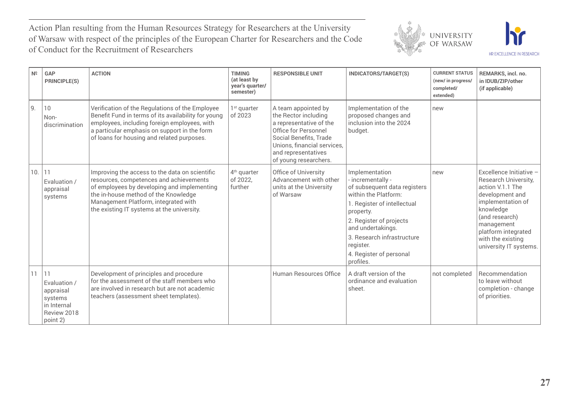



| N <sup>o</sup> | <b>GAP</b><br>PRINCIPLE(S)                                                           | <b>ACTION</b>                                                                                                                                                                                                                                                          | <b>TIMING</b><br>(at least by<br>year's quarter/<br>semester) | <b>RESPONSIBLE UNIT</b>                                                                                                                                                                                 | INDICATORS/TARGET(S)                                                                                                                                                                                                                                                       | <b>CURRENT STATUS</b><br>(new/ in progress/<br>completed/<br>extended) | REMARKS, incl. no.<br>in IDUB/ZIP/other<br>(if applicable)                                                                                                                                                                     |
|----------------|--------------------------------------------------------------------------------------|------------------------------------------------------------------------------------------------------------------------------------------------------------------------------------------------------------------------------------------------------------------------|---------------------------------------------------------------|---------------------------------------------------------------------------------------------------------------------------------------------------------------------------------------------------------|----------------------------------------------------------------------------------------------------------------------------------------------------------------------------------------------------------------------------------------------------------------------------|------------------------------------------------------------------------|--------------------------------------------------------------------------------------------------------------------------------------------------------------------------------------------------------------------------------|
| 9              | 10<br>Non-<br>discrimination                                                         | Verification of the Regulations of the Employee<br>Benefit Fund in terms of its availability for young<br>employees, including foreign employees, with<br>a particular emphasis on support in the form<br>of loans for housing and related purposes.                   | $1st$ quarter<br>of 2023                                      | A team appointed by<br>the Rector including<br>a representative of the<br>Office for Personnel<br>Social Benefits, Trade<br>Unions, financial services,<br>and representatives<br>of young researchers. | Implementation of the<br>proposed changes and<br>inclusion into the 2024<br>budget.                                                                                                                                                                                        | new                                                                    |                                                                                                                                                                                                                                |
| 10.1           | 11<br>Evaluation /<br>appraisal<br>systems                                           | Improving the access to the data on scientific<br>resources, competences and achievements<br>of employees by developing and implementing<br>the in-house method of the Knowledge<br>Management Platform, integrated with<br>the existing IT systems at the university. | 4 <sup>th</sup> quarter<br>of 2022,<br>further                | Office of University<br>Advancement with other<br>units at the University<br>of Warsaw                                                                                                                  | Implementation<br>- incrementally -<br>of subsequent data registers<br>within the Platform:<br>1. Register of intellectual<br>property.<br>2. Register of projects<br>and undertakings.<br>3. Research infrastructure<br>register.<br>4. Register of personal<br>profiles. | new                                                                    | Excellence Initiative -<br>Research University,<br>action V.1.1 The<br>development and<br>implementation of<br>knowledge<br>(and research)<br>management<br>platform integrated<br>with the existing<br>university IT systems. |
| 11             | 11<br>Evaluation /<br>appraisal<br>systems<br>in Internal<br>Review 2018<br>point 2) | Development of principles and procedure<br>for the assessment of the staff members who<br>are involved in research but are not academic<br>teachers (assessment sheet templates).                                                                                      |                                                               | Human Resources Office                                                                                                                                                                                  | A draft version of the<br>ordinance and evaluation<br>sheet.                                                                                                                                                                                                               | not completed                                                          | Recommendation<br>to leave without<br>completion - change<br>of priorities.                                                                                                                                                    |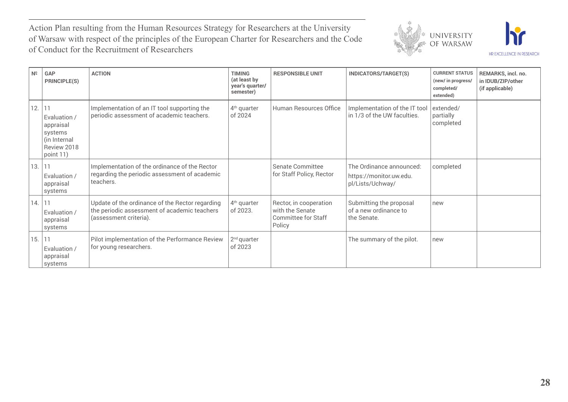



| $N^{\circ}$ | <b>GAP</b><br>PRINCIPLE(S)                                                             | <b>ACTION</b>                                                                                                             | <b>TIMING</b><br>(at least by<br>year's quarter/<br>semester) | <b>RESPONSIBLE UNIT</b>                                                           | INDICATORS/TARGET(S)                                                    | <b>CURRENT STATUS</b><br>(new/ in progress/<br>completed/<br>extended) | REMARKS, incl. no.<br>in IDUB/ZIP/other<br>(if applicable) |
|-------------|----------------------------------------------------------------------------------------|---------------------------------------------------------------------------------------------------------------------------|---------------------------------------------------------------|-----------------------------------------------------------------------------------|-------------------------------------------------------------------------|------------------------------------------------------------------------|------------------------------------------------------------|
| 12.         | 11<br>Evaluation /<br>appraisal<br>systems<br>(in Internal<br>Review 2018<br>point 11) | Implementation of an IT tool supporting the<br>periodic assessment of academic teachers.                                  | $4th$ quarter<br>of 2024                                      | Human Resources Office                                                            | Implementation of the IT tool<br>in 1/3 of the UW faculties.            | extended/<br>partially<br>completed                                    |                                                            |
| 13.         | 11<br>Evaluation /<br>appraisal<br>systems                                             | Implementation of the ordinance of the Rector<br>regarding the periodic assessment of academic<br>teachers.               |                                                               | Senate Committee<br>for Staff Policy, Rector                                      | The Ordinance announced:<br>https://monitor.uw.edu.<br>pl/Lists/Uchway/ | completed                                                              |                                                            |
| $14.$   11  | Evaluation /<br>appraisal<br>systems                                                   | Update of the ordinance of the Rector regarding<br>the periodic assessment of academic teachers<br>(assessment criteria). | 4 <sup>th</sup> quarter<br>of 2023.                           | Rector, in cooperation<br>with the Senate<br><b>Committee for Staff</b><br>Policy | Submitting the proposal<br>of a new ordinance to<br>the Senate.         | new                                                                    |                                                            |
| 15.         | 11<br>Evaluation /<br>appraisal<br>systems                                             | Pilot implementation of the Performance Review<br>for young researchers.                                                  | $2nd$ quarter<br>of 2023                                      |                                                                                   | The summary of the pilot.                                               | new                                                                    |                                                            |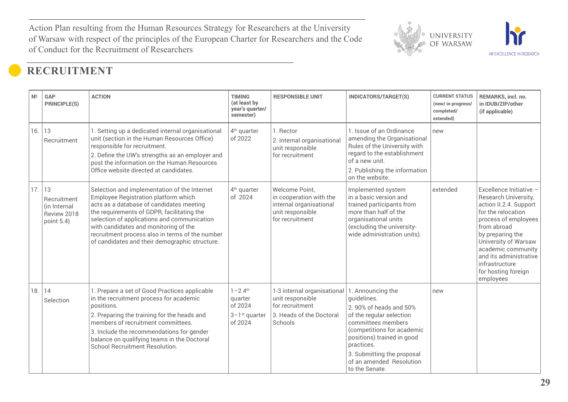

# **RECRUITMENT**

| N <sup>o</sup> | GAP<br>PRINCIPLE(S)                                               | <b>ACTION</b>                                                                                                                                                                                                                                                                                                                                                               | <b>TIMING</b><br>(at least by<br>year's quarter/<br>semester)                          | <b>RESPONSIBLE UNIT</b>                                                                                     | INDICATORS/TARGET(S)                                                                                                                                                                                                                                               | <b>CURRENT STATUS</b><br>(new/ in progress/<br>completed/<br>extended) | REMARKS, incl. no.<br>in IDUB/ZIP/other<br>(if applicable)                                                                                                                                                                                                                               |
|----------------|-------------------------------------------------------------------|-----------------------------------------------------------------------------------------------------------------------------------------------------------------------------------------------------------------------------------------------------------------------------------------------------------------------------------------------------------------------------|----------------------------------------------------------------------------------------|-------------------------------------------------------------------------------------------------------------|--------------------------------------------------------------------------------------------------------------------------------------------------------------------------------------------------------------------------------------------------------------------|------------------------------------------------------------------------|------------------------------------------------------------------------------------------------------------------------------------------------------------------------------------------------------------------------------------------------------------------------------------------|
| 16.            | 13<br>Recruitment                                                 | 1. Setting up a dedicated internal organisational<br>unit (section in the Human Resources Office)<br>responsible for recruitment.<br>2. Define the UW's strengths as an employer and<br>post the information on the Human Resources<br>Office website directed at candidates.                                                                                               | 4 <sup>th</sup> quarter<br>of 2022                                                     | 1. Rector<br>2. Internal organisational<br>unit responsible<br>for recruitment                              | 1. Issue of an Ordinance<br>amending the Organisational<br>Rules of the University with<br>regard to the establishment<br>of a new unit.<br>2. Publishing the information<br>on the website.                                                                       | new                                                                    |                                                                                                                                                                                                                                                                                          |
| 17.            | 13<br>Recruitment<br>(in Internal<br>Review 2018<br>point $5.4$ ) | Selection and implementation of the Internet<br>Employee Registration platform which<br>acts as a database of candidates meeting<br>the requirements of GDPR, facilitating the<br>selection of applications and communication<br>with candidates and monitoring of the<br>recruitment process also in terms of the number<br>of candidates and their demographic structure. | 4 <sup>th</sup> quarter<br>of 2024                                                     | Welcome Point,<br>in cooperation with the<br>internal organisational<br>unit responsible<br>for recruitment | Implemented system<br>in a basic version and<br>trained participants from<br>more than half of the<br>organisational units<br>(excluding the university-<br>wide administration units).                                                                            | extended                                                               | Excellence Initiative -<br>Research University,<br>action II.2.4. Support<br>for the relocation<br>process of employees<br>from abroad<br>by preparing the<br>University of Warsaw<br>academic community<br>and its administrative<br>infrastructure<br>for hosting foreign<br>employees |
| 18.            | 14<br>Selection                                                   | 1. Prepare a set of Good Practices applicable<br>in the recruitment process for academic<br>positions.<br>2. Preparing the training for the heads and<br>members of recruitment committees.<br>3. Include the recommendations for gender<br>balance on qualifying teams in the Doctoral<br><b>School Recruitment Resolution.</b>                                            | $1 - 24$ <sup>th</sup><br>quarter<br>of 2024<br>$3-1$ <sup>st</sup> quarter<br>of 2024 | 1-3 internal organisational<br>unit responsible<br>for recruitment<br>3. Heads of the Doctoral<br>Schools   | 1. Announcing the<br>quidelines.<br>2.90% of heads and 50%<br>of the regular selection<br>committees members<br>(competitions for academic<br>positions) trained in good<br>practices.<br>3. Submitting the proposal<br>of an amended Resolution<br>to the Senate. | new                                                                    |                                                                                                                                                                                                                                                                                          |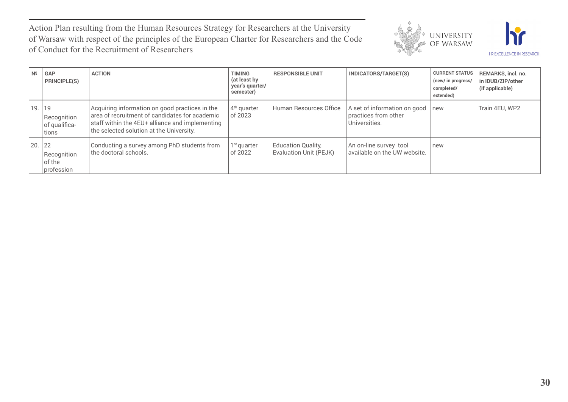



| $N^{\circ}$ | <b>GAP</b><br><b>PRINCIPLE(S)</b>           | <b>ACTION</b>                                                                                                                                                                                   | <b>TIMING</b><br>(at least by<br>year's quarter/<br>semester) | <b>RESPONSIBLE UNIT</b>                      | INDICATORS/TARGET(S)                                                  | <b>CURRENT STATUS</b><br>(new/ in progress/<br>completed/<br>extended) | <b>REMARKS, incl. no.</b><br>in IDUB/ZIP/other<br>(if applicable) |
|-------------|---------------------------------------------|-------------------------------------------------------------------------------------------------------------------------------------------------------------------------------------------------|---------------------------------------------------------------|----------------------------------------------|-----------------------------------------------------------------------|------------------------------------------------------------------------|-------------------------------------------------------------------|
| 19.         | 19<br>Recognition<br>of qualifica-<br>tions | Acquiring information on good practices in the<br>area of recruitment of candidates for academic<br>staff within the 4EU+ alliance and implementing<br>the selected solution at the University. | 4 <sup>th</sup> quarter<br>of 2023                            | Human Resources Office                       | A set of information on good<br>practices from other<br>Universities. | new                                                                    | Train 4EU, WP2                                                    |
| 20.         | 22<br>Recognition<br>of the<br>profession   | Conducting a survey among PhD students from<br>the doctoral schools.                                                                                                                            | $1st$ quarter<br>of 2022                                      | Education Quality,<br>Evaluation Unit (PEJK) | An on-line survey tool<br>available on the UW website.                | new                                                                    |                                                                   |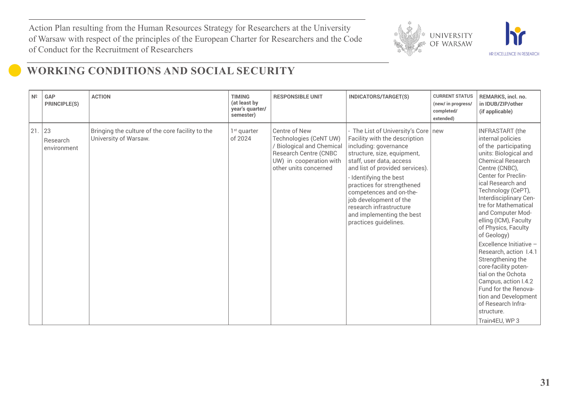

# **WORKING CONDITIONS AND SOCIAL SECURITY**

| N <sup>o</sup> | <b>GAP</b><br><b>PRINCIPLE(S)</b> | <b>ACTION</b>                                                             | <b>TIMING</b><br>(at least by<br>year's quarter/<br>semester) | <b>RESPONSIBLE UNIT</b>                                                                                                                                  | INDICATORS/TARGET(S)                                                                                                                                                                                                                                                                                                                                                                        | <b>CURRENT STATUS</b><br>(new/ in progress/<br>completed/<br>extended) | REMARKS, incl. no.<br>in IDUB/ZIP/other<br>(if applicable)                                                                                                                                                                                                                                                                                                                                                                                                                                                                                                                                               |
|----------------|-----------------------------------|---------------------------------------------------------------------------|---------------------------------------------------------------|----------------------------------------------------------------------------------------------------------------------------------------------------------|---------------------------------------------------------------------------------------------------------------------------------------------------------------------------------------------------------------------------------------------------------------------------------------------------------------------------------------------------------------------------------------------|------------------------------------------------------------------------|----------------------------------------------------------------------------------------------------------------------------------------------------------------------------------------------------------------------------------------------------------------------------------------------------------------------------------------------------------------------------------------------------------------------------------------------------------------------------------------------------------------------------------------------------------------------------------------------------------|
| 21.            | 23<br>Research<br>environment     | Bringing the culture of the core facility to the<br>University of Warsaw. | $1st$ quarter<br>of 2024                                      | Centre of New<br>Technologies (CeNT UW)<br>/ Biological and Chemical<br><b>Research Centre (CNBC</b><br>UW) in cooperation with<br>other units concerned | - The List of University's Core   new<br>Facility with the description<br>including: governance<br>structure, size, equipment,<br>staff, user data, access<br>and list of provided services).<br>- Identifying the best<br>practices for strengthened<br>competences and on-the-<br>job development of the<br>research infrastructure<br>and implementing the best<br>practices guidelines. |                                                                        | <b>INFRASTART</b> (the<br>internal policies<br>of the participating<br>units: Biological and<br><b>Chemical Research</b><br>Centre (CNBC),<br>Center for Preclin-<br>ical Research and<br>Technology (CePT),<br>Interdisciplinary Cen-<br>tre for Mathematical<br>and Computer Mod-<br>elling (ICM), Faculty<br>of Physics, Faculty<br>of Geology)<br>Excellence Initiative -<br>Research, action 1.4.1<br>Strengthening the<br>core-facility poten-<br>tial on the Ochota<br>Campus, action I.4.2<br>Fund for the Renova-<br>tion and Development<br>of Research Infra-<br>structure.<br>Train4EU, WP 3 |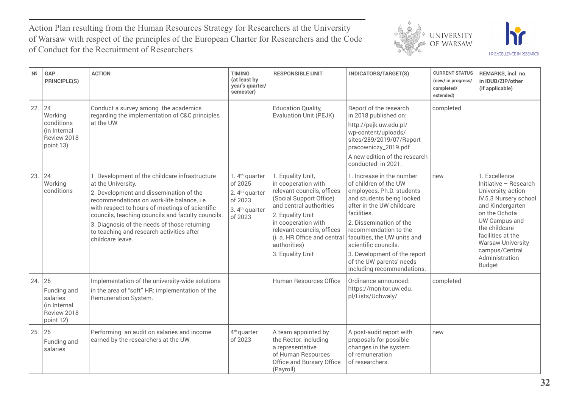



| N <sup>o</sup> | <b>GAP</b><br>PRINCIPLE(S)                                                | <b>ACTION</b>                                                                                                                                                                                                                                                                                                                                                                          | <b>TIMING</b><br>(at least by<br>year's quarter/<br>semester)                                                           | <b>RESPONSIBLE UNIT</b>                                                                                                                                                                                                                                                   | INDICATORS/TARGET(S)                                                                                                                                                                                                                                                                                                                                          | <b>CURRENT STATUS</b><br>(new/ in progress/<br>completed/<br>extended) | REMARKS, incl. no.<br>in IDUB/ZIP/other<br>(if applicable)                                                                                                                                                                                                         |
|----------------|---------------------------------------------------------------------------|----------------------------------------------------------------------------------------------------------------------------------------------------------------------------------------------------------------------------------------------------------------------------------------------------------------------------------------------------------------------------------------|-------------------------------------------------------------------------------------------------------------------------|---------------------------------------------------------------------------------------------------------------------------------------------------------------------------------------------------------------------------------------------------------------------------|---------------------------------------------------------------------------------------------------------------------------------------------------------------------------------------------------------------------------------------------------------------------------------------------------------------------------------------------------------------|------------------------------------------------------------------------|--------------------------------------------------------------------------------------------------------------------------------------------------------------------------------------------------------------------------------------------------------------------|
| 22.            | 24<br>Working<br>conditions<br>(in Internal<br>Review 2018<br>point 13)   | Conduct a survey among the academics<br>regarding the implementation of C&C principles<br>at the UW                                                                                                                                                                                                                                                                                    |                                                                                                                         | <b>Education Quality,</b><br><b>Evaluation Unit (PEJK)</b>                                                                                                                                                                                                                | Report of the research<br>in 2018 published on:<br>http://pejk.uw.edu.pl/<br>wp-content/uploads/<br>sites/289/2019/07/Raport_<br>pracowniczy_2019.pdf<br>A new edition of the research<br>conducted in 2021.                                                                                                                                                  | completed                                                              |                                                                                                                                                                                                                                                                    |
| 23.  24        | Working<br>conditions                                                     | 1. Development of the childcare infrastructure<br>at the University.<br>2. Development and dissemination of the<br>recommendations on work-life balance, i.e.<br>with respect to hours of meetings of scientific<br>councils, teaching councils and faculty councils.<br>3. Diagnosis of the needs of those returning<br>to teaching and research activities after<br>childcare leave. | 1. 4 <sup>th</sup> quarter<br>of 2025<br>2. 4 <sup>th</sup> quarter<br>of 2023<br>3. 4 <sup>th</sup> quarter<br>of 2023 | 1. Equality Unit,<br>in cooperation with<br>relevant councils, offices<br>(Social Support Office)<br>and central authorities<br>2. Equality Unit<br>in cooperation with<br>relevant councils, offices<br>(i. a. HR Office and central<br>authorities)<br>3. Equality Unit | 1. Increase in the number<br>of children of the UW<br>employees, Ph.D. students<br>and students being looked<br>after in the UW childcare<br>facilities.<br>2. Dissemination of the<br>recommendation to the<br>faculties, the UW units and<br>scientific councils.<br>3. Development of the report<br>of the UW parents' needs<br>including recommendations. | new                                                                    | 1. Excellence<br>Initiative - Research<br>University, action<br>IV.5.3 Nursery school<br>and Kindergarten<br>on the Ochota<br>UW Campus and<br>the childcare<br>facilities at the<br><b>Warsaw University</b><br>campus/Central<br>Administration<br><b>Budget</b> |
| 24.            | 26<br>Funding and<br>salaries<br>(in Internal<br>Review 2018<br>point 12) | Implementation of the university-wide solutions<br>in the area of "soft" HR: implementation of the<br>Remuneration System.                                                                                                                                                                                                                                                             |                                                                                                                         | Human Resources Office                                                                                                                                                                                                                                                    | Ordinance announced:<br>https://monitor.uw.edu.<br>pl/Lists/Uchwaly/                                                                                                                                                                                                                                                                                          | completed                                                              |                                                                                                                                                                                                                                                                    |
| 25. 26         | Funding and<br>salaries                                                   | Performing an audit on salaries and income<br>earned by the researchers at the UW.                                                                                                                                                                                                                                                                                                     | 4 <sup>th</sup> quarter<br>of 2023                                                                                      | A team appointed by<br>the Rector, including<br>a representative<br>of Human Resources<br>Office and Bursary Office<br>(Payroll)                                                                                                                                          | A post-audit report with<br>proposals for possible<br>changes in the system<br>of remuneration<br>of researchers.                                                                                                                                                                                                                                             | new                                                                    |                                                                                                                                                                                                                                                                    |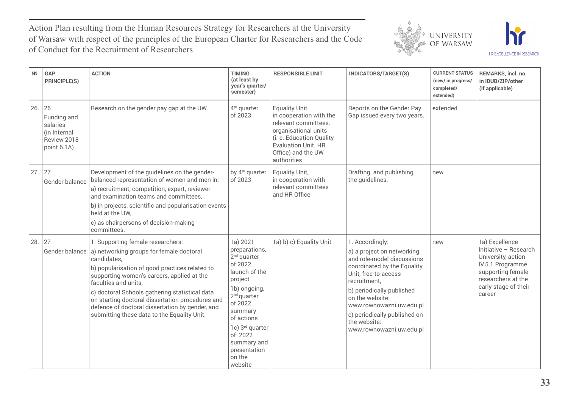



| N <sup>o</sup> | <b>GAP</b><br>PRINCIPLE(S)                                                  | <b>ACTION</b>                                                                                                                                                                                                                                                                                                                                                                                                                                 | <b>TIMING</b><br>(at least by<br>year's quarter/<br>semester)                                                                                                                                                                            | <b>RESPONSIBLE UNIT</b>                                                                                                                                                                        | INDICATORS/TARGET(S)                                                                                                                                                                                                                                                                                       | <b>CURRENT STATUS</b><br>(new/ in progress/<br>completed/<br>extended) | REMARKS, incl. no.<br>in IDUB/ZIP/other<br>(if applicable)                                                                                                     |
|----------------|-----------------------------------------------------------------------------|-----------------------------------------------------------------------------------------------------------------------------------------------------------------------------------------------------------------------------------------------------------------------------------------------------------------------------------------------------------------------------------------------------------------------------------------------|------------------------------------------------------------------------------------------------------------------------------------------------------------------------------------------------------------------------------------------|------------------------------------------------------------------------------------------------------------------------------------------------------------------------------------------------|------------------------------------------------------------------------------------------------------------------------------------------------------------------------------------------------------------------------------------------------------------------------------------------------------------|------------------------------------------------------------------------|----------------------------------------------------------------------------------------------------------------------------------------------------------------|
| 26.            | 26<br>Funding and<br>salaries<br>(in Internal<br>Review 2018<br>point 6.1A) | Research on the gender pay gap at the UW.                                                                                                                                                                                                                                                                                                                                                                                                     | 4 <sup>th</sup> quarter<br>of 2023                                                                                                                                                                                                       | <b>Equality Unit</b><br>in cooperation with the<br>relevant committees.<br>organisational units<br>(i. e. Education Quality<br><b>Evaluation Unit. HR</b><br>Office) and the UW<br>authorities | Reports on the Gender Pay<br>Gap issued every two years.                                                                                                                                                                                                                                                   | extended                                                               |                                                                                                                                                                |
| 27.            | 27<br>Gender balance                                                        | Development of the guidelines on the gender-<br>balanced representation of women and men in:<br>a) recruitment, competition, expert, reviewer<br>and examination teams and committees,<br>b) in projects, scientific and popularisation events<br>held at the UW,<br>c) as chairpersons of decision-making<br>committees.                                                                                                                     | by 4 <sup>th</sup> quarter<br>of 2023                                                                                                                                                                                                    | Equality Unit,<br>in cooperation with<br>relevant committees<br>and HR Office                                                                                                                  | Drafting and publishing<br>the guidelines.                                                                                                                                                                                                                                                                 | new                                                                    |                                                                                                                                                                |
| 28.            | 27                                                                          | 1. Supporting female researchers:<br>Gender balance   a) networking groups for female doctoral<br>candidates,<br>b) popularisation of good practices related to<br>supporting women's careers, applied at the<br>faculties and units,<br>c) doctoral Schools gathering statistical data<br>on starting doctoral dissertation procedures and<br>defence of doctoral dissertation by gender, and<br>submitting these data to the Equality Unit. | 1a) 2021<br>preparations,<br>$2nd$ quarter<br>of 2022<br>launch of the<br>project<br>1b) ongoing,<br>$2nd$ quarter<br>of 2022<br>summary<br>of actions<br>1c) 3rd quarter<br>of 2022<br>summary and<br>presentation<br>on the<br>website | 1a) b) c) Equality Unit                                                                                                                                                                        | 1. Accordingly:<br>a) a project on networking<br>and role-model discussions<br>coordinated by the Equality<br>Unit, free-to-access<br>recruitment,<br>b) periodically published<br>on the website:<br>www.rownowazni.uw.edu.pl<br>c) periodically published on<br>the website:<br>www.rownowazni.uw.edu.pl | new                                                                    | 1a) Excellence<br>Initiative - Research<br>University, action<br>IV.5.1 Programme<br>supporting female<br>researchers at the<br>early stage of their<br>career |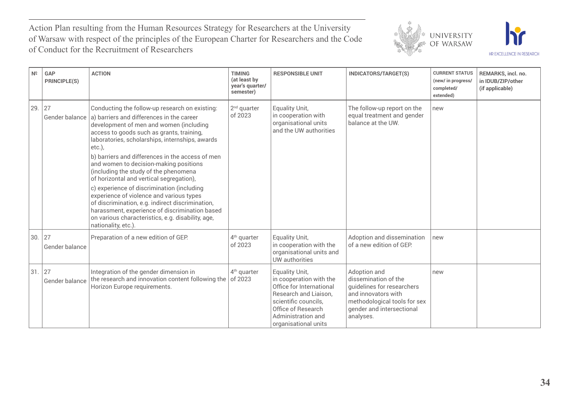



| $N^{\circ}$ | GAP<br>PRINCIPLE(S)  | <b>ACTION</b>                                                                                                                                                                                                                                                                                                                                                                                                                                                                                                                                                                                                                                                                                                                     | <b>TIMING</b><br>(at least by<br>year's quarter/<br>semester) | <b>RESPONSIBLE UNIT</b>                                                                                                                                                                    | INDICATORS/TARGET(S)                                                                                                                                                | <b>CURRENT STATUS</b><br>(new/ in progress/<br>completed/<br>extended) | REMARKS, incl. no.<br>in IDUB/ZIP/other<br>(if applicable) |
|-------------|----------------------|-----------------------------------------------------------------------------------------------------------------------------------------------------------------------------------------------------------------------------------------------------------------------------------------------------------------------------------------------------------------------------------------------------------------------------------------------------------------------------------------------------------------------------------------------------------------------------------------------------------------------------------------------------------------------------------------------------------------------------------|---------------------------------------------------------------|--------------------------------------------------------------------------------------------------------------------------------------------------------------------------------------------|---------------------------------------------------------------------------------------------------------------------------------------------------------------------|------------------------------------------------------------------------|------------------------------------------------------------|
| 29.         | 27                   | Conducting the follow-up research on existing:<br>Gender balance a) barriers and differences in the career<br>development of men and women (including<br>access to goods such as grants, training,<br>laboratories, scholarships, internships, awards<br>$etc.$ ),<br>b) barriers and differences in the access of men<br>and women to decision-making positions<br>(including the study of the phenomena<br>of horizontal and vertical segregation),<br>c) experience of discrimination (including<br>experience of violence and various types<br>of discrimination, e.g. indirect discrimination,<br>harassment, experience of discrimination based<br>on various characteristics, e.g. disability, age,<br>nationality, etc.). | $2nd$ quarter<br>of 2023                                      | Equality Unit,<br>in cooperation with<br>organisational units<br>and the UW authorities                                                                                                    | The follow-up report on the<br>equal treatment and gender<br>balance at the UW.                                                                                     | new                                                                    |                                                            |
| 30.         | 27<br>Gender balance | Preparation of a new edition of GEP.                                                                                                                                                                                                                                                                                                                                                                                                                                                                                                                                                                                                                                                                                              | 4 <sup>th</sup> quarter<br>of 2023                            | Equality Unit,<br>in cooperation with the<br>organisational units and<br>UW authorities                                                                                                    | Adoption and dissemination<br>of a new edition of GEP.                                                                                                              | new                                                                    |                                                            |
| 31.127      | Gender balance       | Integration of the gender dimension in<br>the research and innovation content following the<br>Horizon Europe requirements.                                                                                                                                                                                                                                                                                                                                                                                                                                                                                                                                                                                                       | 4 <sup>th</sup> quarter<br>of 2023                            | Equality Unit,<br>in cooperation with the<br>Office for International<br>Research and Liaison,<br>scientific councils,<br>Office of Research<br>Administration and<br>organisational units | Adoption and<br>dissemination of the<br>guidelines for researchers<br>and innovators with<br>methodological tools for sex<br>gender and intersectional<br>analyses. | new                                                                    |                                                            |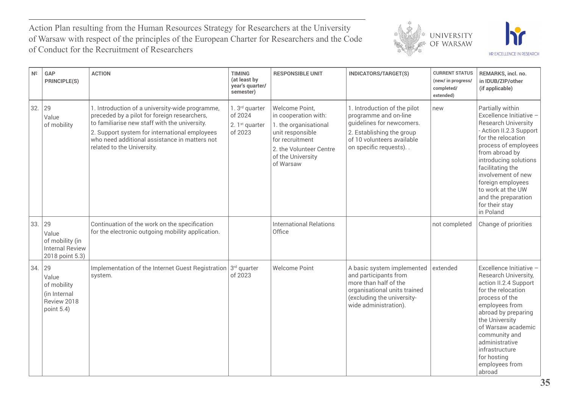



| $N^{\circ}$ | GAP<br>PRINCIPLE(S)                                                         | <b>ACTION</b>                                                                                                                                                                                                                                                                    | <b>TIMING</b><br>(at least by<br>year's quarter/<br>semester)      | <b>RESPONSIBLE UNIT</b>                                                                                                                                             | INDICATORS/TARGET(S)                                                                                                                                                      | <b>CURRENT STATUS</b><br>(new/ in progress/<br>completed/<br>extended) | REMARKS, incl. no.<br>in IDUB/ZIP/other<br>(if applicable)                                                                                                                                                                                                                                                                              |
|-------------|-----------------------------------------------------------------------------|----------------------------------------------------------------------------------------------------------------------------------------------------------------------------------------------------------------------------------------------------------------------------------|--------------------------------------------------------------------|---------------------------------------------------------------------------------------------------------------------------------------------------------------------|---------------------------------------------------------------------------------------------------------------------------------------------------------------------------|------------------------------------------------------------------------|-----------------------------------------------------------------------------------------------------------------------------------------------------------------------------------------------------------------------------------------------------------------------------------------------------------------------------------------|
| 32.         | 29<br>Value<br>of mobility                                                  | 1. Introduction of a university-wide programme,<br>preceded by a pilot for foreign researchers,<br>to familiarise new staff with the university.<br>2. Support system for international employees<br>who need additional assistance in matters not<br>related to the University. | 1. 3rd quarter<br>of 2024<br>2. 1 <sup>st</sup> quarter<br>of 2023 | Welcome Point,<br>in cooperation with:<br>1. the organisational<br>unit responsible<br>for recruitment<br>2. the Volunteer Centre<br>of the University<br>of Warsaw | 1. Introduction of the pilot<br>programme and on-line<br>quidelines for newcomers.<br>2. Establishing the group<br>of 10 volunteers available<br>on specific requests). . | new                                                                    | Partially within<br>Excellence Initiative -<br><b>Research University</b><br>- Action II.2.3 Support<br>for the relocation<br>process of employees<br>from abroad by<br>introducing solutions<br>facilitating the<br>involvement of new<br>foreign employees<br>to work at the UW<br>and the preparation<br>for their stay<br>in Poland |
| 33.         | 29<br>Value<br>of mobility (in<br><b>Internal Review</b><br>2018 point 5.3) | Continuation of the work on the specification<br>for the electronic outgoing mobility application.                                                                                                                                                                               |                                                                    | <b>International Relations</b><br>Office                                                                                                                            |                                                                                                                                                                           | not completed                                                          | Change of priorities                                                                                                                                                                                                                                                                                                                    |
| 34.         | 29<br>Value<br>of mobility<br>(in Internal<br>Review 2018<br>point 5.4)     | Implementation of the Internet Guest Registration $3rd$ quarter<br>system.                                                                                                                                                                                                       | of 2023                                                            | <b>Welcome Point</b>                                                                                                                                                | A basic system implemented<br>and participants from<br>more than half of the<br>organisational units trained<br>(excluding the university-<br>wide administration).       | extended                                                               | Excellence Initiative -<br>Research University,<br>action II.2.4 Support<br>for the relocation<br>process of the<br>employees from<br>abroad by preparing<br>the University<br>of Warsaw academic<br>community and<br>administrative<br>infrastructure<br>for hosting<br>employees from<br>abroad                                       |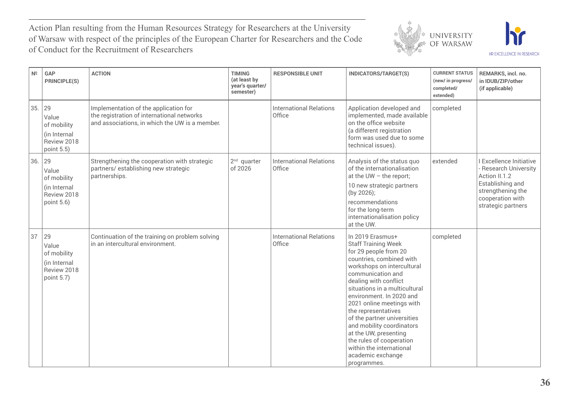



| N <sup>o</sup> | GAP<br>PRINCIPLE(S)                                                     | <b>ACTION</b>                                                                                                                         | <b>TIMING</b><br>(at least by<br>year's quarter/<br>semester) | <b>RESPONSIBLE UNIT</b>                  | INDICATORS/TARGET(S)                                                                                                                                                                                                                                                                                                                                                                                                                                                              | <b>CURRENT STATUS</b><br>(new/ in progress/<br>completed/<br>extended) | REMARKS, incl. no.<br>in IDUB/ZIP/other<br>(if applicable)                                                                                           |
|----------------|-------------------------------------------------------------------------|---------------------------------------------------------------------------------------------------------------------------------------|---------------------------------------------------------------|------------------------------------------|-----------------------------------------------------------------------------------------------------------------------------------------------------------------------------------------------------------------------------------------------------------------------------------------------------------------------------------------------------------------------------------------------------------------------------------------------------------------------------------|------------------------------------------------------------------------|------------------------------------------------------------------------------------------------------------------------------------------------------|
| 35.            | 29<br>Value<br>of mobility<br>(in Internal<br>Review 2018<br>point 5.5) | Implementation of the application for<br>the registration of international networks<br>and associations, in which the UW is a member. |                                                               | <b>International Relations</b><br>Office | Application developed and<br>implemented, made available<br>on the office website<br>(a different registration<br>form was used due to some<br>technical issues).                                                                                                                                                                                                                                                                                                                 | completed                                                              |                                                                                                                                                      |
| 36.            | 29<br>Value<br>of mobility<br>(in Internal<br>Review 2018<br>point 5.6) | Strengthening the cooperation with strategic<br>partners/establishing new strategic<br>partnerships.                                  | $2nd$ quarter<br>of 2026                                      | <b>International Relations</b><br>Office | Analysis of the status quo<br>of the internationalisation<br>at the $UW -$ the report;<br>10 new strategic partners<br>(by 2026);<br>recommendations<br>for the long-term<br>internationalisation policy<br>at the UW.                                                                                                                                                                                                                                                            | extended                                                               | I Excellence Initiative<br>- Research University<br>Action II.1.2<br>Establishing and<br>strengthening the<br>cooperation with<br>strategic partners |
| 37             | 29<br>Value<br>of mobility<br>(in Internal<br>Review 2018<br>point 5.7) | Continuation of the training on problem solving<br>in an intercultural environment.                                                   |                                                               | <b>International Relations</b><br>Office | In 2019 Erasmus+<br><b>Staff Training Week</b><br>for 29 people from 20<br>countries, combined with<br>workshops on intercultural<br>communication and<br>dealing with conflict<br>situations in a multicultural<br>environment. In 2020 and<br>2021 online meetings with<br>the representatives<br>of the partner universities<br>and mobility coordinators<br>at the UW, presenting<br>the rules of cooperation<br>within the international<br>academic exchange<br>programmes. | completed                                                              |                                                                                                                                                      |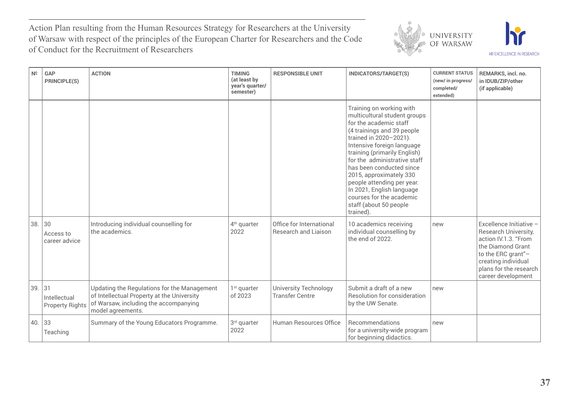



| $N^{\circ}$ | GAP<br>PRINCIPLE(S)                          | <b>ACTION</b>                                                                                                                                           | <b>TIMING</b><br>(at least by<br>year's quarter/<br>semester) | <b>RESPONSIBLE UNIT</b>                                 | INDICATORS/TARGET(S)                                                                                                                                                                                                                                                                                                                                                                                                          | <b>CURRENT STATUS</b><br>(new/ in progress/<br>completed/<br>extended) | REMARKS, incl. no.<br>in IDUB/ZIP/other<br>(if applicable)                                                                                                                                |
|-------------|----------------------------------------------|---------------------------------------------------------------------------------------------------------------------------------------------------------|---------------------------------------------------------------|---------------------------------------------------------|-------------------------------------------------------------------------------------------------------------------------------------------------------------------------------------------------------------------------------------------------------------------------------------------------------------------------------------------------------------------------------------------------------------------------------|------------------------------------------------------------------------|-------------------------------------------------------------------------------------------------------------------------------------------------------------------------------------------|
|             |                                              |                                                                                                                                                         |                                                               |                                                         | Training on working with<br>multicultural student groups<br>for the academic staff<br>(4 trainings and 39 people<br>trained in 2020-2021).<br>Intensive foreign language<br>training (primarily English)<br>for the administrative staff<br>has been conducted since<br>2015, approximately 330<br>people attending per year.<br>In 2021, English language<br>courses for the academic<br>staff (about 50 people<br>trained). |                                                                        |                                                                                                                                                                                           |
| 38.         | 30<br>Access to<br>career advice             | Introducing individual counselling for<br>the academics.                                                                                                | 4 <sup>th</sup> quarter<br>2022                               | Office for International<br><b>Research and Liaison</b> | 10 academics receiving<br>individual counselling by<br>the end of 2022.                                                                                                                                                                                                                                                                                                                                                       | new                                                                    | Excellence Initiative -<br>Research University,<br>action IV.1.3. "From<br>the Diamond Grant<br>to the ERC grant"-<br>creating individual<br>plans for the research<br>career development |
| 39.         | 31<br>Intellectual<br><b>Property Rights</b> | Updating the Regulations for the Management<br>of Intellectual Property at the University<br>of Warsaw, including the accompanying<br>model agreements. | $1st$ quarter<br>of 2023                                      | <b>University Technology</b><br><b>Transfer Centre</b>  | Submit a draft of a new<br>Resolution for consideration<br>by the UW Senate.                                                                                                                                                                                                                                                                                                                                                  | new                                                                    |                                                                                                                                                                                           |
| 40.         | 33<br>Teaching                               | Summary of the Young Educators Programme.                                                                                                               | 3rd quarter<br>2022                                           | Human Resources Office                                  | Recommendations<br>for a university-wide program<br>for beginning didactics.                                                                                                                                                                                                                                                                                                                                                  | new                                                                    |                                                                                                                                                                                           |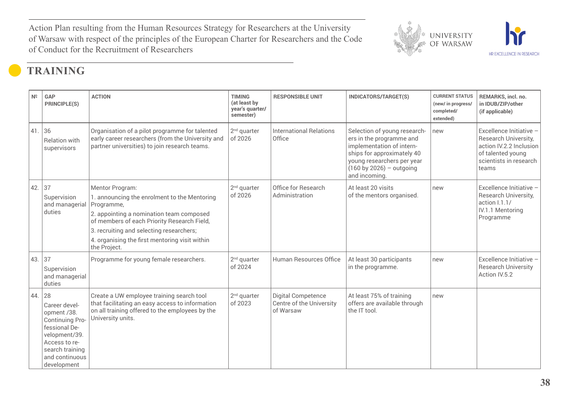

# **TRAINING**

| N <sup>o</sup> | GAP<br>PRINCIPLE(S)                                                                                                                                          | <b>ACTION</b>                                                                                                                                                                                                                                                            | <b>TIMING</b><br>(at least by<br>year's quarter/<br>semester) | <b>RESPONSIBLE UNIT</b>                                     | INDICATORS/TARGET(S)                                                                                                                                                                                      | <b>CURRENT STATUS</b><br>(new/ in progress/<br>completed/<br>extended) | <b>REMARKS, incl. no.</b><br>in IDUB/ZIP/other<br>(if applicable)                                                                  |
|----------------|--------------------------------------------------------------------------------------------------------------------------------------------------------------|--------------------------------------------------------------------------------------------------------------------------------------------------------------------------------------------------------------------------------------------------------------------------|---------------------------------------------------------------|-------------------------------------------------------------|-----------------------------------------------------------------------------------------------------------------------------------------------------------------------------------------------------------|------------------------------------------------------------------------|------------------------------------------------------------------------------------------------------------------------------------|
| 41.            | 36<br><b>Relation with</b><br>supervisors                                                                                                                    | Organisation of a pilot programme for talented<br>early career researchers (from the University and<br>partner universities) to join research teams.                                                                                                                     | $2nd$ quarter<br>of 2026                                      | <b>International Relations</b><br>Office                    | Selection of young research-<br>ers in the programme and<br>implementation of intern-<br>ships for approximately 40<br>young researchers per year<br>$(160 \text{ by } 2026)$ - outgoing<br>and incoming. | new                                                                    | Excellence Initiative -<br>Research University,<br>action IV.2.2 Inclusion<br>of talented young<br>scientists in research<br>teams |
| 42.            | 37<br>Supervision<br>and managerial   Programme,<br>duties                                                                                                   | Mentor Program:<br>1. announcing the enrolment to the Mentoring<br>2. appointing a nomination team composed<br>of members of each Priority Research Field,<br>3. recruiting and selecting researchers;<br>4. organising the first mentoring visit within<br>the Project. | $2nd$ quarter<br>of 2026                                      | Office for Research<br>Administration                       | At least 20 visits<br>of the mentors organised.                                                                                                                                                           | new                                                                    | Excellence Initiative -<br>Research University,<br>action 1.1.1/<br>IV.1.1 Mentoring<br>Programme                                  |
| 43.            | 37<br>Supervision<br>and managerial<br>duties                                                                                                                | Programme for young female researchers.                                                                                                                                                                                                                                  | $2nd$ quarter<br>of 2024                                      | Human Resources Office                                      | At least 30 participants<br>in the programme.                                                                                                                                                             | new                                                                    | Excellence Initiative -<br><b>Research University</b><br>Action IV.5.2                                                             |
| 44.            | 28<br>Career devel-<br>opment /38.<br>Continuing Pro-<br>fessional De-<br>velopment/39.<br>Access to re-<br>search training<br>and continuous<br>development | Create a UW employee training search tool<br>that facilitating an easy access to information<br>on all training offered to the employees by the<br>University units.                                                                                                     | $2nd$ quarter<br>of 2023                                      | Digital Competence<br>Centre of the University<br>of Warsaw | At least 75% of training<br>offers are available through<br>the IT tool.                                                                                                                                  | new                                                                    |                                                                                                                                    |